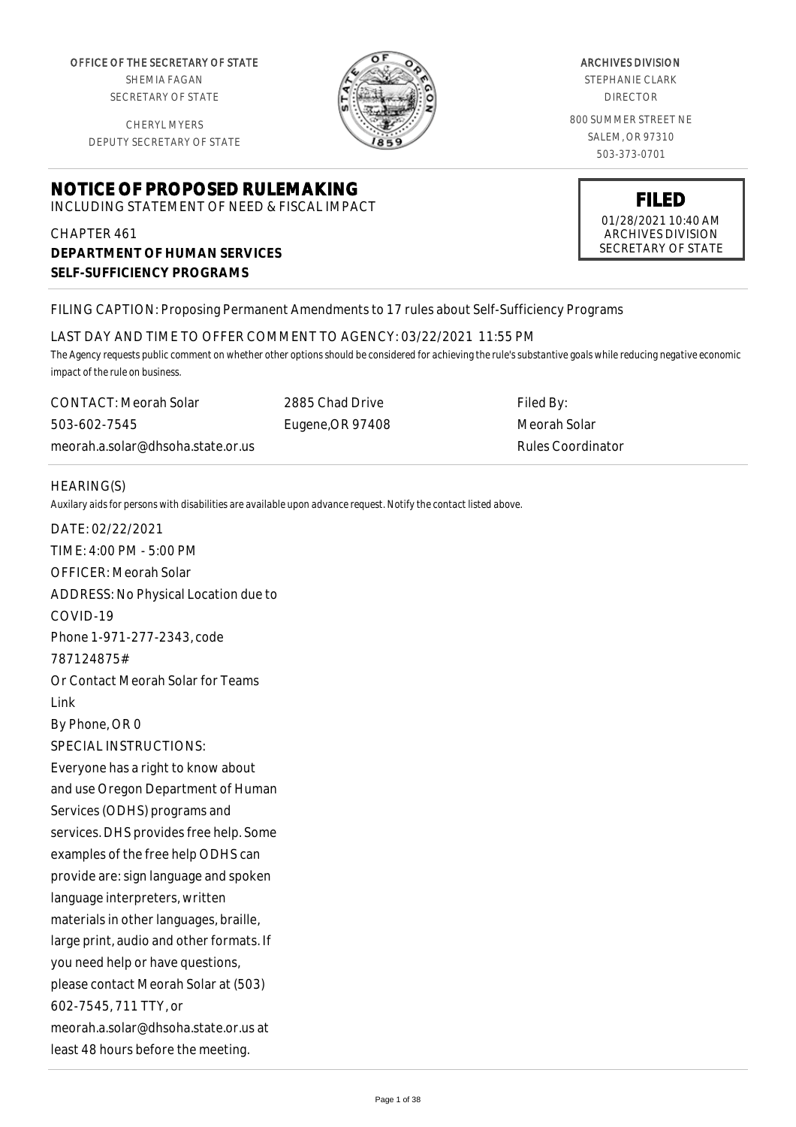OFFICE OF THE SECRETARY OF STATE SHEMIA FAGAN

SECRETARY OF STATE

CHERYL MYERS DEPUTY SECRETARY OF STATE

# **NOTICE OF PROPOSED RULEMAKING**

INCLUDING STATEMENT OF NEED & FISCAL IMPACT

# CHAPTER 461 **DEPARTMENT OF HUMAN SERVICES SELF-SUFFICIENCY PROGRAMS**

ARCHIVES DIVISION

STEPHANIE CLARK DIRECTOR

800 SUMMER STREET NE SALEM, OR 97310 503-373-0701

> **FILED** 01/28/2021 10:40 AM ARCHIVES DIVISION SECRETARY OF STATE

# FILING CAPTION: Proposing Permanent Amendments to 17 rules about Self-Sufficiency Programs

LAST DAY AND TIME TO OFFER COMMENT TO AGENCY: 03/22/2021 11:55 PM

*The Agency requests public comment on whether other options should be considered for achieving the rule's substantive goals while reducing negative economic impact of the rule on business.*

CONTACT: Meorah Solar 503-602-7545 meorah.a.solar@dhsoha.state.or.us 2885 Chad Drive Eugene,OR 97408

Filed By: Meorah Solar Rules Coordinator

## HEARING(S)

*Auxilary aids for persons with disabilities are available upon advance request. Notify the contact listed above.*

DATE: 02/22/2021 TIME: 4:00 PM - 5:00 PM OFFICER: Meorah Solar ADDRESS: No Physical Location due to COVID-19 Phone 1-971-277-2343, code 787124875# Or Contact Meorah Solar for Teams Link By Phone, OR 0 SPECIAL INSTRUCTIONS: Everyone has a right to know about and use Oregon Department of Human Services (ODHS) programs and services. DHS provides free help. Some examples of the free help ODHS can provide are: sign language and spoken language interpreters, written materials in other languages, braille, large print, audio and other formats. If you need help or have questions, please contact Meorah Solar at (503) 602-7545, 711 TTY, or meorah.a.solar@dhsoha.state.or.us at least 48 hours before the meeting.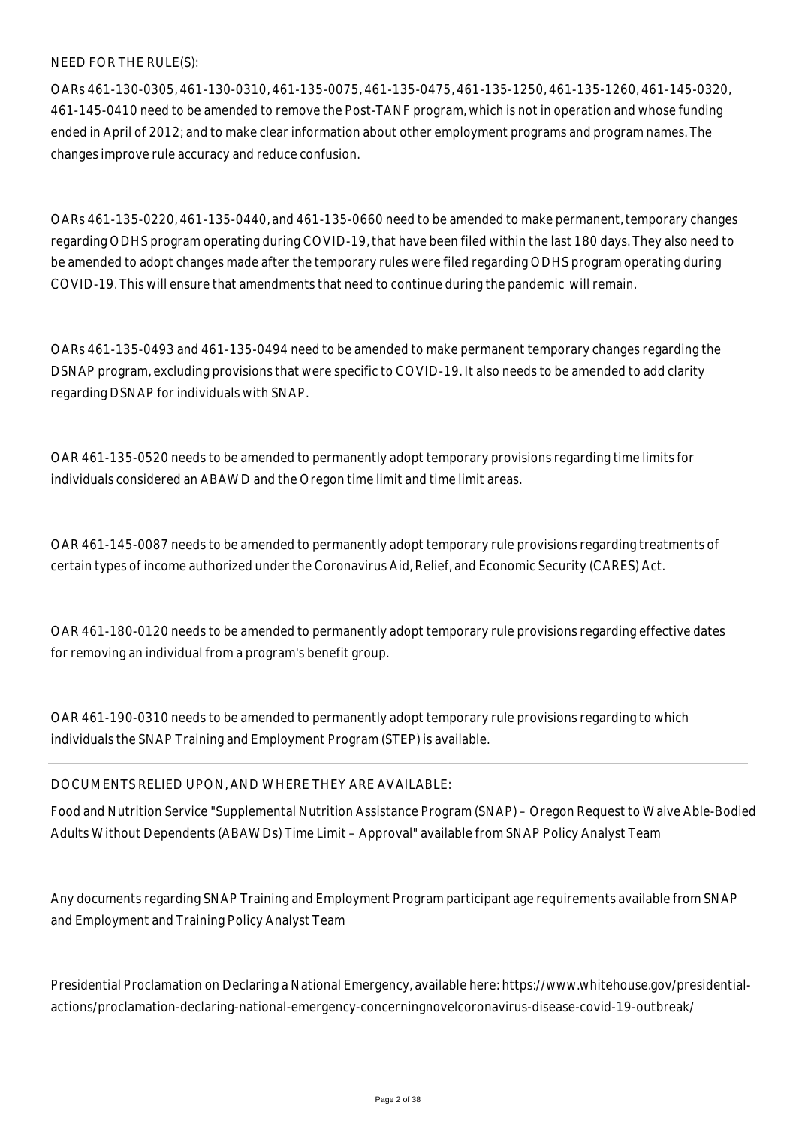NEED FOR THE RULE(S):

OARs 461-130-0305, 461-130-0310, 461-135-0075, 461-135-0475, 461-135-1250, 461-135-1260, 461-145-0320, 461-145-0410 need to be amended to remove the Post-TANF program, which is not in operation and whose funding ended in April of 2012; and to make clear information about other employment programs and program names. The changes improve rule accuracy and reduce confusion.

OARs 461-135-0220, 461-135-0440, and 461-135-0660 need to be amended to make permanent, temporary changes regarding ODHS program operating during COVID-19, that have been filed within the last 180 days. They also need to be amended to adopt changes made after the temporary rules were filed regarding ODHS program operating during COVID-19. This will ensure that amendments that need to continue during the pandemic will remain.

OARs 461-135-0493 and 461-135-0494 need to be amended to make permanent temporary changes regarding the DSNAP program, excluding provisions that were specific to COVID-19. It also needs to be amended to add clarity regarding DSNAP for individuals with SNAP.

OAR 461-135-0520 needs to be amended to permanently adopt temporary provisions regarding time limits for individuals considered an ABAWD and the Oregon time limit and time limit areas.

OAR 461-145-0087 needs to be amended to permanently adopt temporary rule provisions regarding treatments of certain types of income authorized under the Coronavirus Aid, Relief, and Economic Security (CARES) Act.

OAR 461-180-0120 needs to be amended to permanently adopt temporary rule provisions regarding effective dates for removing an individual from a program's benefit group.

OAR 461-190-0310 needs to be amended to permanently adopt temporary rule provisions regarding to which individuals the SNAP Training and Employment Program (STEP) is available.

## DOCUMENTS RELIED UPON, AND WHERE THEY ARE AVAILABLE:

Food and Nutrition Service "Supplemental Nutrition Assistance Program (SNAP) – Oregon Request to Waive Able-Bodied Adults Without Dependents (ABAWDs) Time Limit – Approval" available from SNAP Policy Analyst Team

Any documents regarding SNAP Training and Employment Program participant age requirements available from SNAP and Employment and Training Policy Analyst Team

Presidential Proclamation on Declaring a National Emergency, available here: https://www.whitehouse.gov/presidentialactions/proclamation-declaring-national-emergency-concerningnovelcoronavirus-disease-covid-19-outbreak/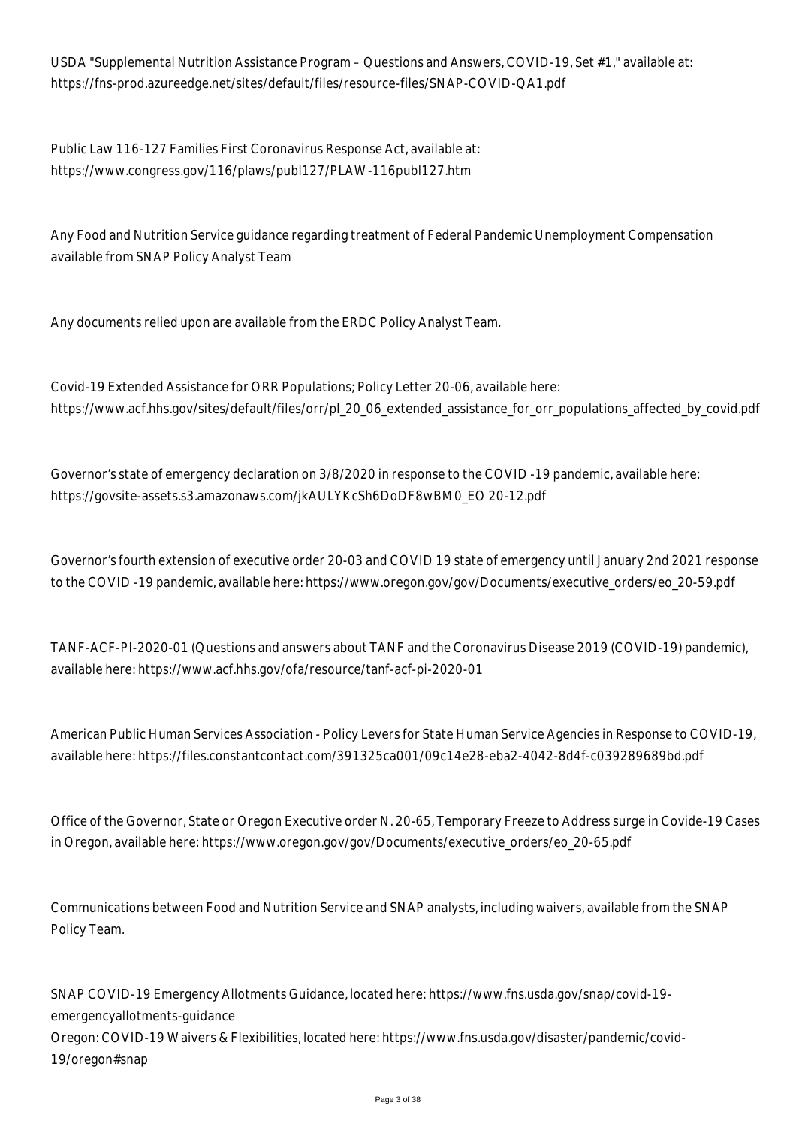USDA "Supplemental Nutrition Assistance Program – Questions and Answers, COVID-19, Set #1," available at: https://fns-prod.azureedge.net/sites/default/files/resource-files/SNAP-COVID-QA1.pdf

Public Law 116-127 Families First Coronavirus Response Act, available at: https://www.congress.gov/116/plaws/publ127/PLAW-116publ127.htm

Any Food and Nutrition Service guidance regarding treatment of Federal Pandemic Unemployment Compensation available from SNAP Policy Analyst Team

Any documents relied upon are available from the ERDC Policy Analyst Team.

Covid-19 Extended Assistance for ORR Populations; Policy Letter 20-06, available here: https://www.acf.hhs.gov/sites/default/files/orr/pl\_20\_06\_extended\_assistance\_for\_orr\_populations\_affected\_by\_covid.pdf

Governor's state of emergency declaration on 3/8/2020 in response to the COVID -19 pandemic, available here: https://govsite-assets.s3.amazonaws.com/jkAULYKcSh6DoDF8wBM0\_EO 20-12.pdf

Governor's fourth extension of executive order 20-03 and COVID 19 state of emergency until January 2nd 2021 response to the COVID -19 pandemic, available here: https://www.oregon.gov/gov/Documents/executive\_orders/eo\_20-59.pdf

TANF-ACF-PI-2020-01 (Questions and answers about TANF and the Coronavirus Disease 2019 (COVID-19) pandemic), available here: https://www.acf.hhs.gov/ofa/resource/tanf-acf-pi-2020-01

American Public Human Services Association - Policy Levers for State Human Service Agencies in Response to COVID-19, available here: https://files.constantcontact.com/391325ca001/09c14e28-eba2-4042-8d4f-c039289689bd.pdf

Office of the Governor, State or Oregon Executive order N. 20-65, Temporary Freeze to Address surge in Covide-19 Cases in Oregon, available here: https://www.oregon.gov/gov/Documents/executive\_orders/eo\_20-65.pdf

Communications between Food and Nutrition Service and SNAP analysts, including waivers, available from the SNAP Policy Team.

SNAP COVID-19 Emergency Allotments Guidance, located here: https://www.fns.usda.gov/snap/covid-19 emergencyallotments-guidance Oregon: COVID-19 Waivers & Flexibilities, located here: https://www.fns.usda.gov/disaster/pandemic/covid-19/oregon#snap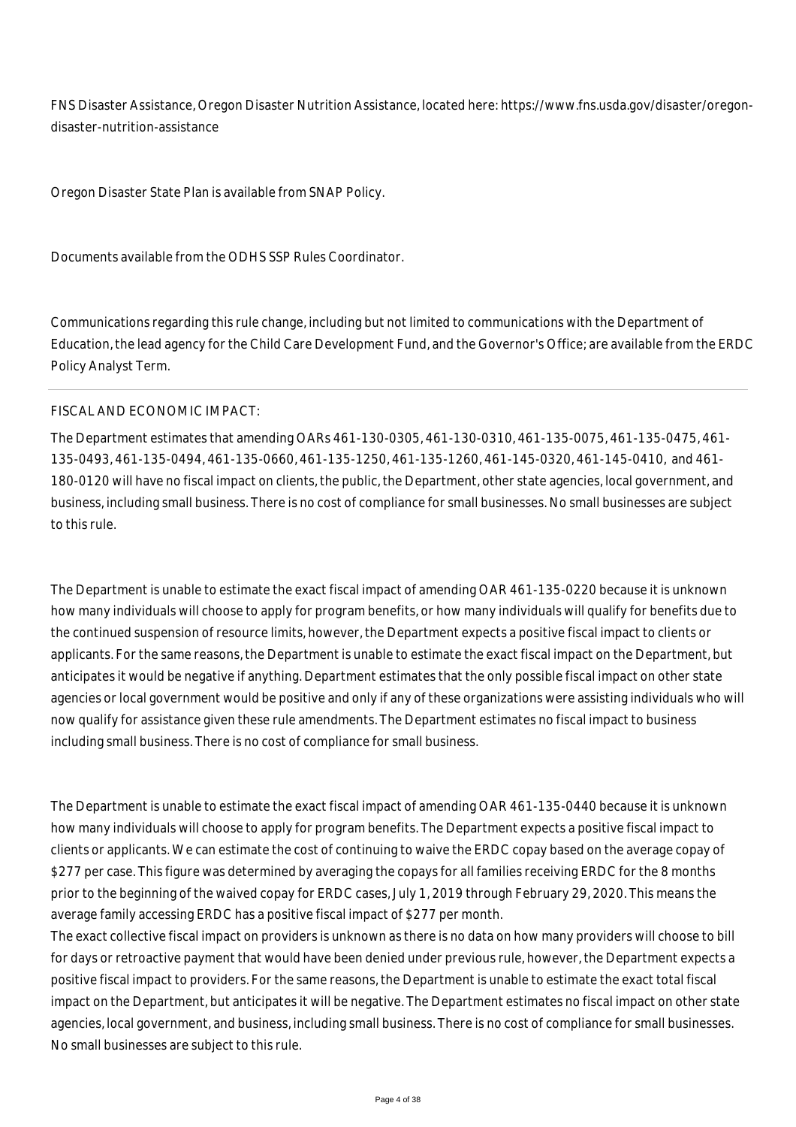FNS Disaster Assistance, Oregon Disaster Nutrition Assistance, located here: https://www.fns.usda.gov/disaster/oregondisaster-nutrition-assistance

Oregon Disaster State Plan is available from SNAP Policy.

Documents available from the ODHS SSP Rules Coordinator.

Communications regarding this rule change, including but not limited to communications with the Department of Education, the lead agency for the Child Care Development Fund, and the Governor's Office; are available from the ERDC Policy Analyst Term.

#### FISCAL AND ECONOMIC IMPACT:

The Department estimates that amending OARs 461-130-0305, 461-130-0310, 461-135-0075, 461-135-0475, 461- 135-0493, 461-135-0494, 461-135-0660, 461-135-1250, 461-135-1260, 461-145-0320, 461-145-0410, and 461- 180-0120 will have no fiscal impact on clients, the public, the Department, other state agencies, local government, and business, including small business. There is no cost of compliance for small businesses. No small businesses are subject to this rule.

The Department is unable to estimate the exact fiscal impact of amending OAR 461-135-0220 because it is unknown how many individuals will choose to apply for program benefits, or how many individuals will qualify for benefits due to the continued suspension of resource limits, however, the Department expects a positive fiscal impact to clients or applicants. For the same reasons, the Department is unable to estimate the exact fiscal impact on the Department, but anticipates it would be negative if anything. Department estimates that the only possible fiscal impact on other state agencies or local government would be positive and only if any of these organizations were assisting individuals who will now qualify for assistance given these rule amendments. The Department estimates no fiscal impact to business including small business. There is no cost of compliance for small business.

The Department is unable to estimate the exact fiscal impact of amending OAR 461-135-0440 because it is unknown how many individuals will choose to apply for program benefits. The Department expects a positive fiscal impact to clients or applicants. We can estimate the cost of continuing to waive the ERDC copay based on the average copay of \$277 per case. This figure was determined by averaging the copays for all families receiving ERDC for the 8 months prior to the beginning of the waived copay for ERDC cases, July 1, 2019 through February 29, 2020. This means the average family accessing ERDC has a positive fiscal impact of \$277 per month.

The exact collective fiscal impact on providers is unknown as there is no data on how many providers will choose to bill for days or retroactive payment that would have been denied under previous rule, however, the Department expects a positive fiscal impact to providers. For the same reasons, the Department is unable to estimate the exact total fiscal impact on the Department, but anticipates it will be negative. The Department estimates no fiscal impact on other state agencies, local government, and business, including small business. There is no cost of compliance for small businesses. No small businesses are subject to this rule.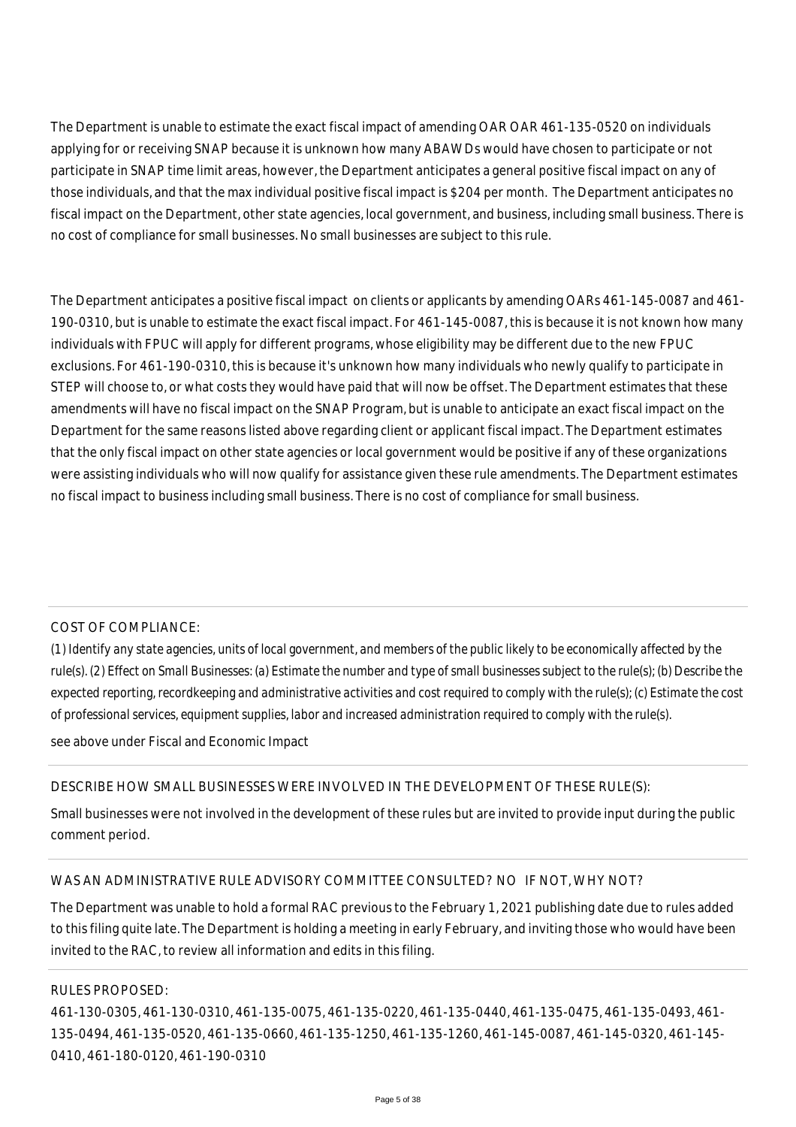The Department is unable to estimate the exact fiscal impact of amending OAR OAR 461-135-0520 on individuals applying for or receiving SNAP because it is unknown how many ABAWDs would have chosen to participate or not participate in SNAP time limit areas, however, the Department anticipates a general positive fiscal impact on any of those individuals, and that the max individual positive fiscal impact is \$204 per month. The Department anticipates no fiscal impact on the Department, other state agencies, local government, and business, including small business. There is no cost of compliance for small businesses. No small businesses are subject to this rule.

The Department anticipates a positive fiscal impact on clients or applicants by amending OARs 461-145-0087 and 461- 190-0310, but is unable to estimate the exact fiscal impact. For 461-145-0087, this is because it is not known how many individuals with FPUC will apply for different programs, whose eligibility may be different due to the new FPUC exclusions. For 461-190-0310, this is because it's unknown how many individuals who newly qualify to participate in STEP will choose to, or what costs they would have paid that will now be offset. The Department estimates that these amendments will have no fiscal impact on the SNAP Program, but is unable to anticipate an exact fiscal impact on the Department for the same reasons listed above regarding client or applicant fiscal impact. The Department estimates that the only fiscal impact on other state agencies or local government would be positive if any of these organizations were assisting individuals who will now qualify for assistance given these rule amendments. The Department estimates no fiscal impact to business including small business. There is no cost of compliance for small business.

#### COST OF COMPLIANCE:

*(1) Identify any state agencies, units of local government, and members of the public likely to be economically affected by the rule(s). (2) Effect on Small Businesses: (a) Estimate the number and type of small businesses subject to the rule(s); (b) Describe the expected reporting, recordkeeping and administrative activities and cost required to comply with the rule(s); (c) Estimate the cost of professional services, equipment supplies, labor and increased administration required to comply with the rule(s).*

see above under Fiscal and Economic Impact

## DESCRIBE HOW SMALL BUSINESSES WERE INVOLVED IN THE DEVELOPMENT OF THESE RULE(S):

Small businesses were not involved in the development of these rules but are invited to provide input during the public comment period.

#### WAS AN ADMINISTRATIVE RULE ADVISORY COMMITTEE CONSULTED? NO IF NOT, WHY NOT?

The Department was unable to hold a formal RAC previous to the February 1, 2021 publishing date due to rules added to this filing quite late. The Department is holding a meeting in early February, and inviting those who would have been invited to the RAC, to review all information and edits in this filing.

#### RULES PROPOSED:

461-130-0305, 461-130-0310, 461-135-0075, 461-135-0220, 461-135-0440, 461-135-0475, 461-135-0493, 461- 135-0494, 461-135-0520, 461-135-0660, 461-135-1250, 461-135-1260, 461-145-0087, 461-145-0320, 461-145- 0410, 461-180-0120, 461-190-0310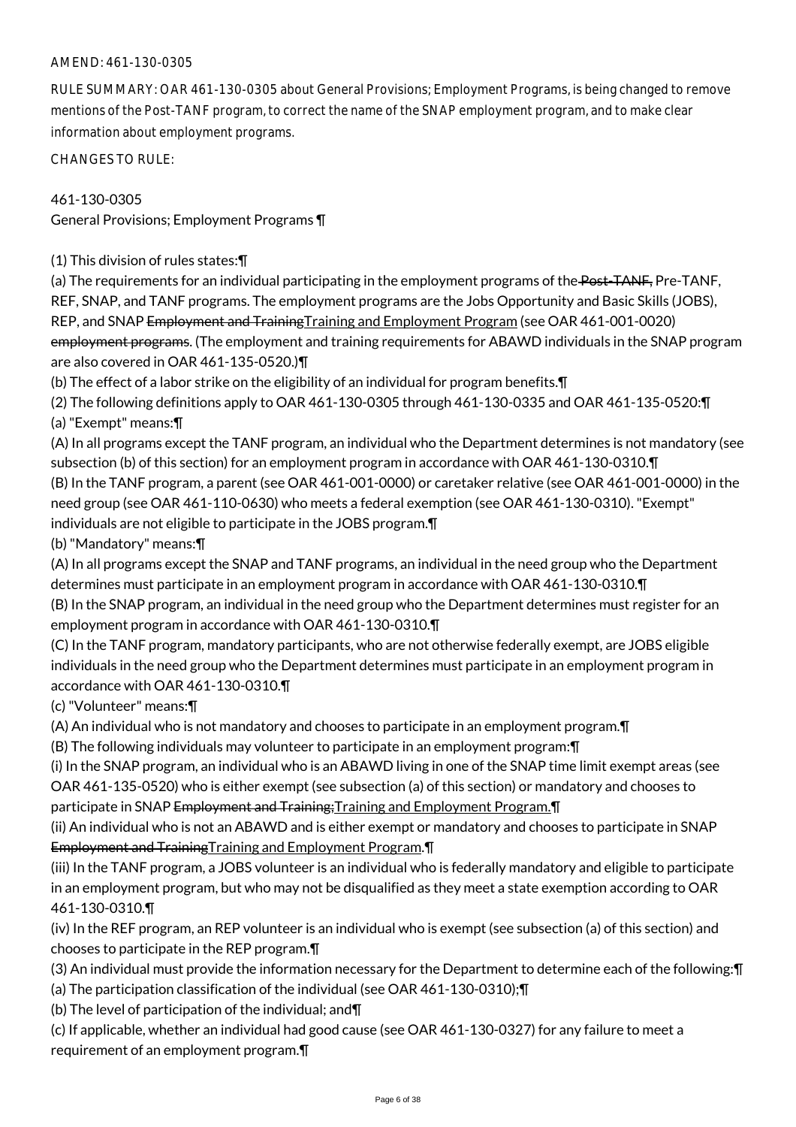RULE SUMMARY: OAR 461-130-0305 about General Provisions; Employment Programs, is being changed to remove mentions of the Post-TANF program, to correct the name of the SNAP employment program, and to make clear information about employment programs.

CHANGES TO RULE:

461-130-0305 General Provisions; Employment Programs ¶

(1) This division of rules states:¶

(a) The requirements for an individual participating in the employment programs of the Post-TANF, Pre-TANF, REF, SNAP, and TANF programs. The employment programs are the Jobs Opportunity and Basic Skills (JOBS), REP, and SNAP Employment and TrainingTraining and Employment Program (see OAR 461-001-0020) employment programs. (The employment and training requirements for ABAWD individuals in the SNAP program are also covered in OAR 461-135-0520.)¶

(b) The effect of a labor strike on the eligibility of an individual for program benefits.¶

(2) The following definitions apply to OAR 461-130-0305 through 461-130-0335 and OAR 461-135-0520:¶ (a) "Exempt" means:¶

(A) In all programs except the TANF program, an individual who the Department determines is not mandatory (see subsection (b) of this section) for an employment program in accordance with OAR 461-130-0310.¶

(B) In the TANF program, a parent (see OAR 461-001-0000) or caretaker relative (see OAR 461-001-0000) in the need group (see OAR 461-110-0630) who meets a federal exemption (see OAR 461-130-0310). "Exempt" individuals are not eligible to participate in the JOBS program.¶

(b) "Mandatory" means:¶

(A) In all programs except the SNAP and TANF programs, an individual in the need group who the Department determines must participate in an employment program in accordance with OAR 461-130-0310.¶

(B) In the SNAP program, an individual in the need group who the Department determines must register for an employment program in accordance with OAR 461-130-0310.¶

(C) In the TANF program, mandatory participants, who are not otherwise federally exempt, are JOBS eligible individuals in the need group who the Department determines must participate in an employment program in accordance with OAR 461-130-0310.¶

(c) "Volunteer" means:¶

(A) An individual who is not mandatory and chooses to participate in an employment program.¶

(B) The following individuals may volunteer to participate in an employment program:¶

(i) In the SNAP program, an individual who is an ABAWD living in one of the SNAP time limit exempt areas (see OAR 461-135-0520) who is either exempt (see subsection (a) of this section) or mandatory and chooses to participate in SNAP Employment and Training;Training and Employment Program.¶

(ii) An individual who is not an ABAWD and is either exempt or mandatory and chooses to participate in SNAP Employment and TrainingTraining and Employment Program.

(iii) In the TANF program, a JOBS volunteer is an individual who is federally mandatory and eligible to participate in an employment program, but who may not be disqualified as they meet a state exemption according to OAR 461-130-0310.¶

(iv) In the REF program, an REP volunteer is an individual who is exempt (see subsection (a) of this section) and chooses to participate in the REP program.¶

(3) An individual must provide the information necessary for the Department to determine each of the following:¶

(a) The participation classification of the individual (see OAR 461-130-0310);¶

(b) The level of participation of the individual; and¶

(c) If applicable, whether an individual had good cause (see OAR 461-130-0327) for any failure to meet a requirement of an employment program.¶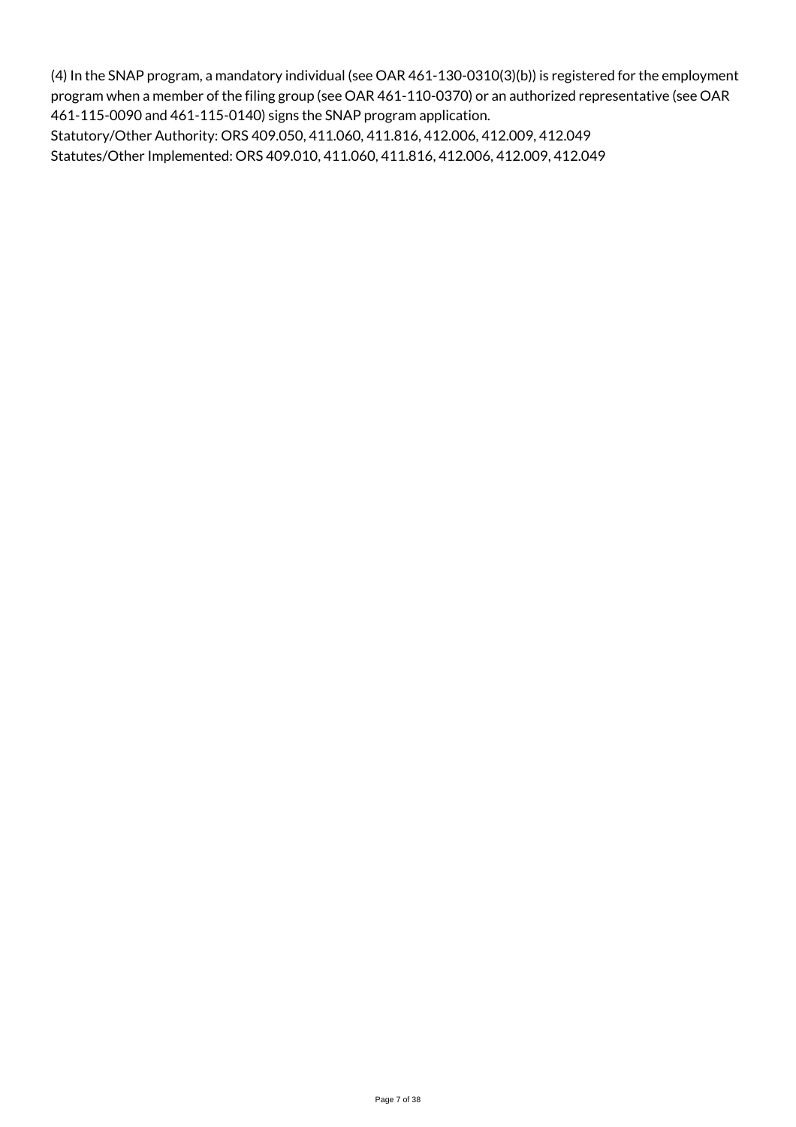(4) In the SNAP program, a mandatory individual (see OAR 461-130-0310(3)(b)) is registered for the employment program when a member of the filing group (see OAR 461-110-0370) or an authorized representative (see OAR 461-115-0090 and 461-115-0140) signs the SNAP program application.

Statutory/Other Authority: ORS 409.050, 411.060, 411.816, 412.006, 412.009, 412.049 Statutes/Other Implemented: ORS 409.010, 411.060, 411.816, 412.006, 412.009, 412.049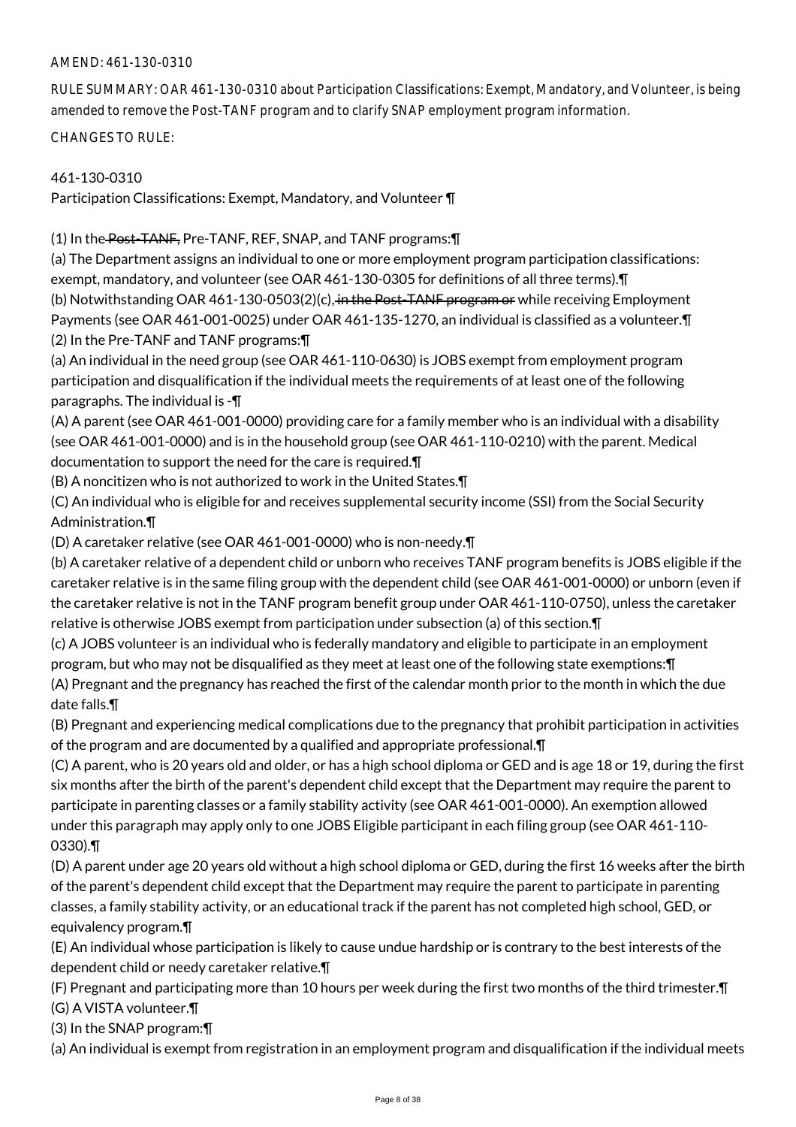RULE SUMMARY: OAR 461-130-0310 about Participation Classifications: Exempt, Mandatory, and Volunteer, is being amended to remove the Post-TANF program and to clarify SNAP employment program information.

CHANGES TO RULE:

# 461-130-0310

Participation Classifications: Exempt, Mandatory, and Volunteer ¶

(1) In the Post-TANF, Pre-TANF, REF, SNAP, and TANF programs:¶

(a) The Department assigns an individual to one or more employment program participation classifications: exempt, mandatory, and volunteer (see OAR 461-130-0305 for definitions of all three terms).¶

(b) Notwithstanding OAR 461-130-0503(2)(c), in the Post-TANF program or while receiving Employment Payments (see OAR 461-001-0025) under OAR 461-135-1270, an individual is classified as a volunteer.¶ (2) In the Pre-TANF and TANF programs:¶

(a) An individual in the need group (see OAR 461-110-0630) is JOBS exempt from employment program participation and disqualification if the individual meets the requirements of at least one of the following paragraphs. The individual is -¶

(A) A parent (see OAR 461-001-0000) providing care for a family member who is an individual with a disability (see OAR 461-001-0000) and is in the household group (see OAR 461-110-0210) with the parent. Medical documentation to support the need for the care is required.¶

(B) A noncitizen who is not authorized to work in the United States.¶

(C) An individual who is eligible for and receives supplemental security income (SSI) from the Social Security Administration.¶

(D) A caretaker relative (see OAR 461-001-0000) who is non-needy.¶

(b) A caretaker relative of a dependent child or unborn who receives TANF program benefits is JOBS eligible if the caretaker relative is in the same filing group with the dependent child (see OAR 461-001-0000) or unborn (even if the caretaker relative is not in the TANF program benefit group under OAR 461-110-0750), unless the caretaker relative is otherwise JOBS exempt from participation under subsection (a) of this section.¶

(c) A JOBS volunteer is an individual who is federally mandatory and eligible to participate in an employment program, but who may not be disqualified as they meet at least one of the following state exemptions:¶ (A) Pregnant and the pregnancy has reached the first of the calendar month prior to the month in which the due date falls.¶

(B) Pregnant and experiencing medical complications due to the pregnancy that prohibit participation in activities of the program and are documented by a qualified and appropriate professional.¶

(C) A parent, who is 20 years old and older, or has a high school diploma or GED and is age 18 or 19, during the first six months after the birth of the parent's dependent child except that the Department may require the parent to participate in parenting classes or a family stability activity (see OAR 461-001-0000). An exemption allowed under this paragraph may apply only to one JOBS Eligible participant in each filing group (see OAR 461-110- 0330).¶

(D) A parent under age 20 years old without a high school diploma or GED, during the first 16 weeks after the birth of the parent's dependent child except that the Department may require the parent to participate in parenting classes, a family stability activity, or an educational track if the parent has not completed high school, GED, or equivalency program.¶

(E) An individual whose participation is likely to cause undue hardship or is contrary to the best interests of the dependent child or needy caretaker relative.¶

(F) Pregnant and participating more than 10 hours per week during the first two months of the third trimester.¶ (G) A VISTA volunteer.¶

(3) In the SNAP program:¶

(a) An individual is exempt from registration in an employment program and disqualification if the individual meets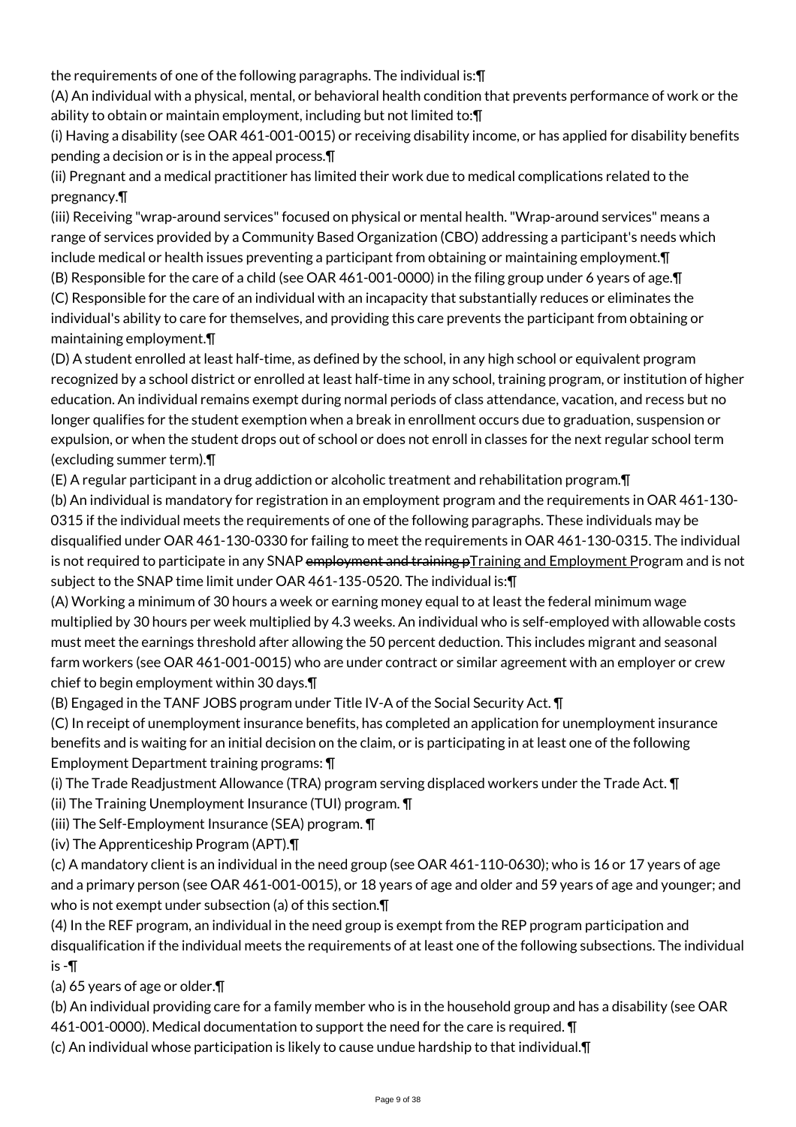the requirements of one of the following paragraphs. The individual is:¶

(A) An individual with a physical, mental, or behavioral health condition that prevents performance of work or the ability to obtain or maintain employment, including but not limited to:¶

(i) Having a disability (see OAR 461-001-0015) or receiving disability income, or has applied for disability benefits pending a decision or is in the appeal process.¶

(ii) Pregnant and a medical practitioner has limited their work due to medical complications related to the pregnancy.¶

(iii) Receiving "wrap-around services" focused on physical or mental health. "Wrap-around services" means a range of services provided by a Community Based Organization (CBO) addressing a participant's needs which include medical or health issues preventing a participant from obtaining or maintaining employment.¶

(B) Responsible for the care of a child (see OAR 461-001-0000) in the filing group under 6 years of age.¶ (C) Responsible for the care of an individual with an incapacity that substantially reduces or eliminates the individual's ability to care for themselves, and providing this care prevents the participant from obtaining or maintaining employment.¶

(D) A student enrolled at least half-time, as defined by the school, in any high school or equivalent program recognized by a school district or enrolled at least half-time in any school, training program, or institution of higher education. An individual remains exempt during normal periods of class attendance, vacation, and recess but no longer qualifies for the student exemption when a break in enrollment occurs due to graduation, suspension or expulsion, or when the student drops out of school or does not enroll in classes for the next regular school term (excluding summer term).¶

(E) A regular participant in a drug addiction or alcoholic treatment and rehabilitation program.¶

(b) An individual is mandatory for registration in an employment program and the requirements in OAR 461-130- 0315 if the individual meets the requirements of one of the following paragraphs. These individuals may be disqualified under OAR 461-130-0330 for failing to meet the requirements in OAR 461-130-0315. The individual is not required to participate in any SNAP e<del>mployment and training pTraining and Employment</del> Program and is not subject to the SNAP time limit under OAR 461-135-0520. The individual is:¶

(A) Working a minimum of 30 hours a week or earning money equal to at least the federal minimum wage multiplied by 30 hours per week multiplied by 4.3 weeks. An individual who is self-employed with allowable costs must meet the earnings threshold after allowing the 50 percent deduction. This includes migrant and seasonal farm workers (see OAR 461-001-0015) who are under contract or similar agreement with an employer or crew chief to begin employment within 30 days.¶

(B) Engaged in the TANF JOBS program under Title IV-A of the Social Security Act. ¶

(C) In receipt of unemployment insurance benefits, has completed an application for unemployment insurance benefits and is waiting for an initial decision on the claim, or is participating in at least one of the following Employment Department training programs: ¶

(i) The Trade Readjustment Allowance (TRA) program serving displaced workers under the Trade Act. ¶

(ii) The Training Unemployment Insurance (TUI) program. ¶

(iii) The Self-Employment Insurance (SEA) program. ¶

(iv) The Apprenticeship Program (APT).¶

(c) A mandatory client is an individual in the need group (see OAR 461-110-0630); who is 16 or 17 years of age and a primary person (see OAR 461-001-0015), or 18 years of age and older and 59 years of age and younger; and who is not exempt under subsection (a) of this section.¶

(4) In the REF program, an individual in the need group is exempt from the REP program participation and disqualification if the individual meets the requirements of at least one of the following subsections. The individual is -¶

(a) 65 years of age or older.¶

(b) An individual providing care for a family member who is in the household group and has a disability (see OAR 461-001-0000). Medical documentation to support the need for the care is required. ¶

(c) An individual whose participation is likely to cause undue hardship to that individual.¶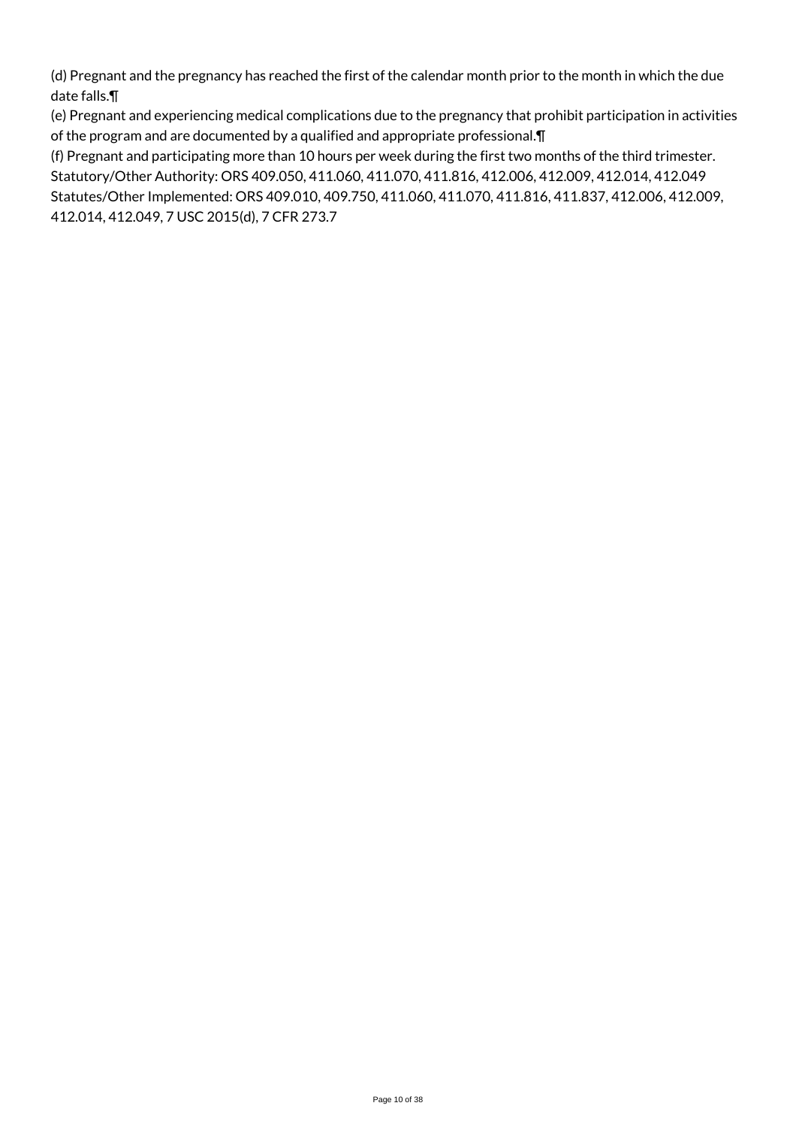(d) Pregnant and the pregnancy has reached the first of the calendar month prior to the month in which the due date falls.¶

(e) Pregnant and experiencing medical complications due to the pregnancy that prohibit participation in activities of the program and are documented by a qualified and appropriate professional.¶

(f) Pregnant and participating more than 10 hours per week during the first two months of the third trimester. Statutory/Other Authority: ORS 409.050, 411.060, 411.070, 411.816, 412.006, 412.009, 412.014, 412.049 Statutes/Other Implemented: ORS 409.010, 409.750, 411.060, 411.070, 411.816, 411.837, 412.006, 412.009, 412.014, 412.049, 7 USC 2015(d), 7 CFR 273.7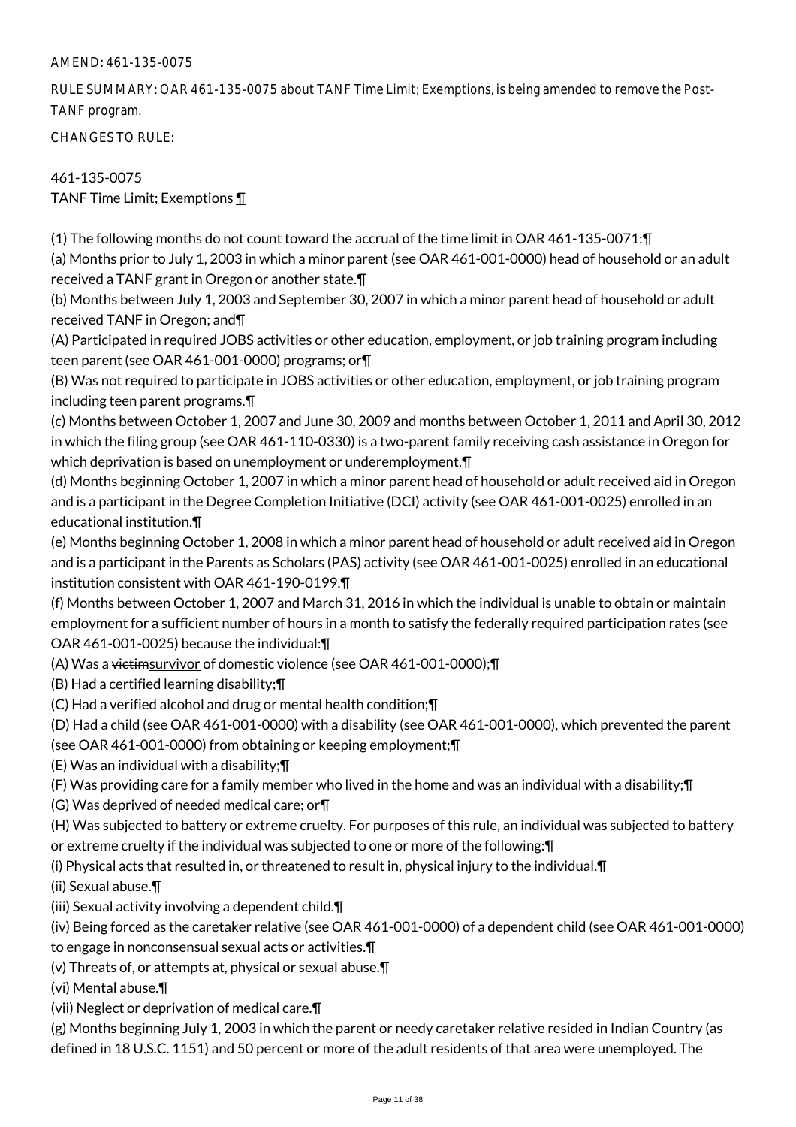RULE SUMMARY: OAR 461-135-0075 about TANF Time Limit; Exemptions, is being amended to remove the Post-TANF program.

CHANGES TO RULE:

461-135-0075 TANF Time Limit; Exemptions ¶

(1) The following months do not count toward the accrual of the time limit in OAR 461-135-0071:¶

(a) Months prior to July 1, 2003 in which a minor parent (see OAR 461-001-0000) head of household or an adult received a TANF grant in Oregon or another state.¶

(b) Months between July 1, 2003 and September 30, 2007 in which a minor parent head of household or adult received TANF in Oregon; and¶

(A) Participated in required JOBS activities or other education, employment, or job training program including teen parent (see OAR 461-001-0000) programs; or¶

(B) Was not required to participate in JOBS activities or other education, employment, or job training program including teen parent programs.¶

(c) Months between October 1, 2007 and June 30, 2009 and months between October 1, 2011 and April 30, 2012 in which the filing group (see OAR 461-110-0330) is a two-parent family receiving cash assistance in Oregon for which deprivation is based on unemployment or underemployment.¶

(d) Months beginning October 1, 2007 in which a minor parent head of household or adult received aid in Oregon and is a participant in the Degree Completion Initiative (DCI) activity (see OAR 461-001-0025) enrolled in an educational institution.¶

(e) Months beginning October 1, 2008 in which a minor parent head of household or adult received aid in Oregon and is a participant in the Parents as Scholars (PAS) activity (see OAR 461-001-0025) enrolled in an educational institution consistent with OAR 461-190-0199.¶

(f) Months between October 1, 2007 and March 31, 2016 in which the individual is unable to obtain or maintain employment for a sufficient number of hours in a month to satisfy the federally required participation rates (see OAR 461-001-0025) because the individual:¶

(A) Was a victimsurvivor of domestic violence (see OAR 461-001-0000);¶

(B) Had a certified learning disability;¶

(C) Had a verified alcohol and drug or mental health condition;¶

(D) Had a child (see OAR 461-001-0000) with a disability (see OAR 461-001-0000), which prevented the parent

(see OAR 461-001-0000) from obtaining or keeping employment;¶

(E) Was an individual with a disability;¶

(F) Was providing care for a family member who lived in the home and was an individual with a disability;¶

(G) Was deprived of needed medical care; or¶

(H) Was subjected to battery or extreme cruelty. For purposes of this rule, an individual was subjected to battery

or extreme cruelty if the individual was subjected to one or more of the following:¶

(i) Physical acts that resulted in, or threatened to result in, physical injury to the individual.¶

(ii) Sexual abuse.¶

(iii) Sexual activity involving a dependent child.¶

(iv) Being forced as the caretaker relative (see OAR 461-001-0000) of a dependent child (see OAR 461-001-0000) to engage in nonconsensual sexual acts or activities.¶

(v) Threats of, or attempts at, physical or sexual abuse.¶

(vi) Mental abuse.¶

(vii) Neglect or deprivation of medical care.¶

(g) Months beginning July 1, 2003 in which the parent or needy caretaker relative resided in Indian Country (as defined in 18 U.S.C. 1151) and 50 percent or more of the adult residents of that area were unemployed. The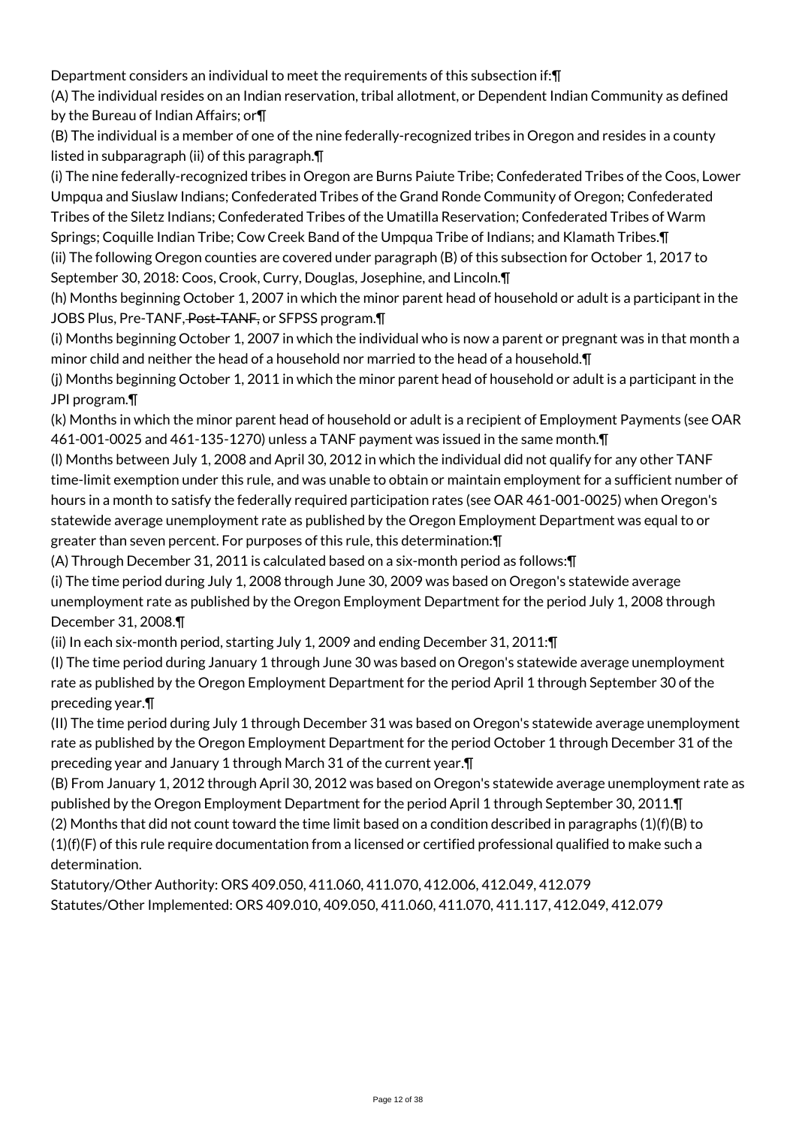Department considers an individual to meet the requirements of this subsection if:¶

(A) The individual resides on an Indian reservation, tribal allotment, or Dependent Indian Community as defined by the Bureau of Indian Affairs; or¶

(B) The individual is a member of one of the nine federally-recognized tribes in Oregon and resides in a county listed in subparagraph (ii) of this paragraph.¶

(i) The nine federally-recognized tribes in Oregon are Burns Paiute Tribe; Confederated Tribes of the Coos, Lower Umpqua and Siuslaw Indians; Confederated Tribes of the Grand Ronde Community of Oregon; Confederated Tribes of the Siletz Indians; Confederated Tribes of the Umatilla Reservation; Confederated Tribes of Warm Springs; Coquille Indian Tribe; Cow Creek Band of the Umpqua Tribe of Indians; and Klamath Tribes.¶ (ii) The following Oregon counties are covered under paragraph (B) of this subsection for October 1, 2017 to

September 30, 2018: Coos, Crook, Curry, Douglas, Josephine, and Lincoln.¶

(h) Months beginning October 1, 2007 in which the minor parent head of household or adult is a participant in the JOBS Plus, Pre-TANF, Post-TANF, or SFPSS program.

(i) Months beginning October 1, 2007 in which the individual who is now a parent or pregnant was in that month a minor child and neither the head of a household nor married to the head of a household.¶

(j) Months beginning October 1, 2011 in which the minor parent head of household or adult is a participant in the JPI program.¶

(k) Months in which the minor parent head of household or adult is a recipient of Employment Payments (see OAR 461-001-0025 and 461-135-1270) unless a TANF payment was issued in the same month.¶

(l) Months between July 1, 2008 and April 30, 2012 in which the individual did not qualify for any other TANF time-limit exemption under this rule, and was unable to obtain or maintain employment for a sufficient number of hours in a month to satisfy the federally required participation rates (see OAR 461-001-0025) when Oregon's statewide average unemployment rate as published by the Oregon Employment Department was equal to or greater than seven percent. For purposes of this rule, this determination:¶

(A) Through December 31, 2011 is calculated based on a six-month period as follows:¶

(i) The time period during July 1, 2008 through June 30, 2009 was based on Oregon's statewide average unemployment rate as published by the Oregon Employment Department for the period July 1, 2008 through December 31, 2008.¶

(ii) In each six-month period, starting July 1, 2009 and ending December 31, 2011:¶

(I) The time period during January 1 through June 30 was based on Oregon's statewide average unemployment rate as published by the Oregon Employment Department for the period April 1 through September 30 of the preceding year.¶

(II) The time period during July 1 through December 31 was based on Oregon's statewide average unemployment rate as published by the Oregon Employment Department for the period October 1 through December 31 of the preceding year and January 1 through March 31 of the current year.¶

(B) From January 1, 2012 through April 30, 2012 was based on Oregon's statewide average unemployment rate as published by the Oregon Employment Department for the period April 1 through September 30, 2011.¶

(2) Months that did not count toward the time limit based on a condition described in paragraphs (1)(f)(B) to

 $(1)(f)(F)$  of this rule require documentation from a licensed or certified professional qualified to make such a determination.

Statutory/Other Authority: ORS 409.050, 411.060, 411.070, 412.006, 412.049, 412.079 Statutes/Other Implemented: ORS 409.010, 409.050, 411.060, 411.070, 411.117, 412.049, 412.079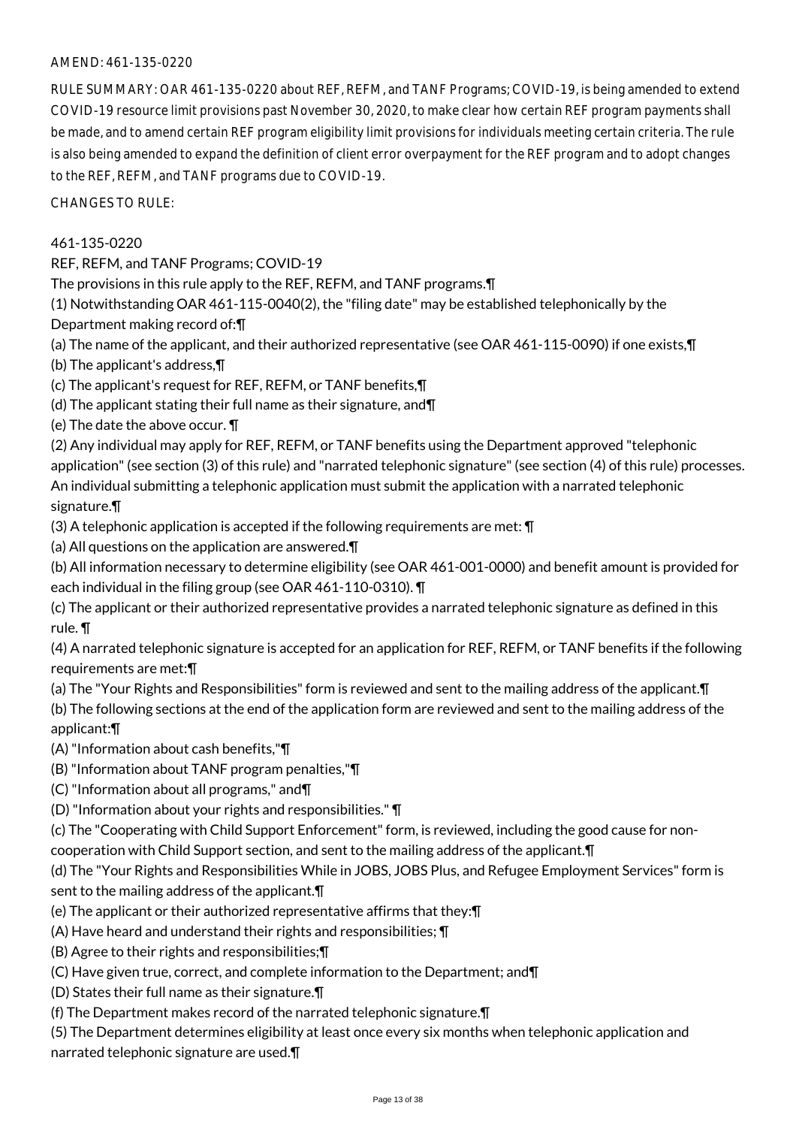RULE SUMMARY: OAR 461-135-0220 about REF, REFM, and TANF Programs; COVID-19, is being amended to extend COVID-19 resource limit provisions past November 30, 2020, to make clear how certain REF program payments shall be made, and to amend certain REF program eligibility limit provisions for individuals meeting certain criteria. The rule is also being amended to expand the definition of client error overpayment for the REF program and to adopt changes to the REF, REFM, and TANF programs due to COVID-19.

CHANGES TO RULE:

## 461-135-0220

REF, REFM, and TANF Programs; COVID-19

The provisions in this rule apply to the REF, REFM, and TANF programs.¶

(1) Notwithstanding OAR 461-115-0040(2), the "filing date" may be established telephonically by the Department making record of:¶

(a) The name of the applicant, and their authorized representative (see OAR 461-115-0090) if one exists,¶

(b) The applicant's address,¶

(c) The applicant's request for REF, REFM, or TANF benefits,¶

(d) The applicant stating their full name as their signature, and¶

(e) The date the above occur. ¶

(2) Any individual may apply for REF, REFM, or TANF benefits using the Department approved "telephonic application" (see section (3) of this rule) and "narrated telephonic signature" (see section (4) of this rule) processes.

An individual submitting a telephonic application must submit the application with a narrated telephonic

## signature.¶

(3) A telephonic application is accepted if the following requirements are met: ¶

(a) All questions on the application are answered.¶

(b) All information necessary to determine eligibility (see OAR 461-001-0000) and benefit amount is provided for each individual in the filing group (see OAR 461-110-0310). ¶

(c) The applicant or their authorized representative provides a narrated telephonic signature as defined in this rule. ¶

(4) A narrated telephonic signature is accepted for an application for REF, REFM, or TANF benefits if the following requirements are met:¶

(a) The "Your Rights and Responsibilities" form is reviewed and sent to the mailing address of the applicant.¶

(b) The following sections at the end of the application form are reviewed and sent to the mailing address of the applicant:¶

(A) "Information about cash benefits,"¶

(B) "Information about TANF program penalties,"¶

(C) "Information about all programs," and¶

(D) "Information about your rights and responsibilities." ¶

(c) The "Cooperating with Child Support Enforcement" form, is reviewed, including the good cause for noncooperation with Child Support section, and sent to the mailing address of the applicant.¶

(d) The "Your Rights and Responsibilities While in JOBS, JOBS Plus, and Refugee Employment Services" form is sent to the mailing address of the applicant.¶

(e) The applicant or their authorized representative affirms that they:¶

(A) Have heard and understand their rights and responsibilities; ¶

(B) Agree to their rights and responsibilities;¶

(C) Have given true, correct, and complete information to the Department; and¶

(D) States their full name as their signature.¶

(f) The Department makes record of the narrated telephonic signature.¶

(5) The Department determines eligibility at least once every six months when telephonic application and narrated telephonic signature are used.¶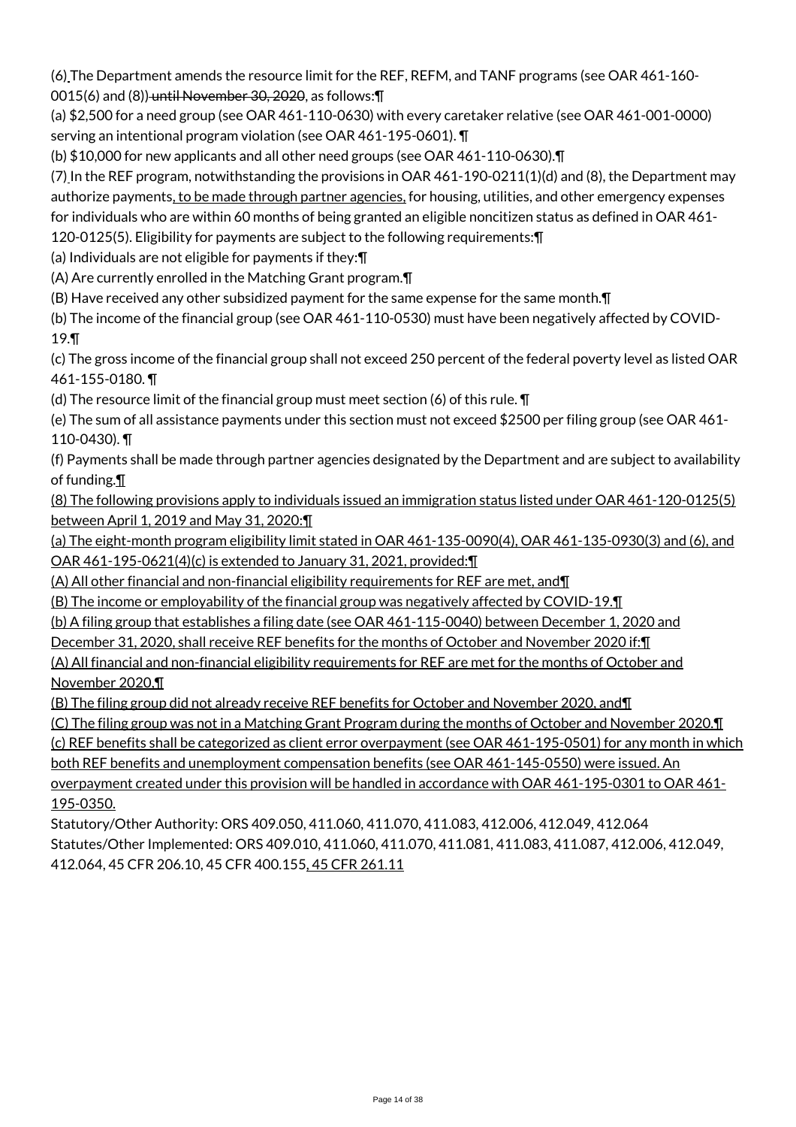(6) The Department amends the resource limit for the REF, REFM, and TANF programs (see OAR 461-160- 0015(6) and (8)) until November 30, 2020, as follows:¶

(a) \$2,500 for a need group (see OAR 461-110-0630) with every caretaker relative (see OAR 461-001-0000) serving an intentional program violation (see OAR 461-195-0601). ¶

(b) \$10,000 for new applicants and all other need groups (see OAR 461-110-0630).¶

(7) In the REF program, notwithstanding the provisions in OAR 461-190-0211(1)(d) and (8), the Department may authorize payments, to be made through partner agencies, for housing, utilities, and other emergency expenses for individuals who are within 60 months of being granted an eligible noncitizen status as defined in OAR 461-

120-0125(5). Eligibility for payments are subject to the following requirements:¶

(a) Individuals are not eligible for payments if they:¶

(A) Are currently enrolled in the Matching Grant program.¶

(B) Have received any other subsidized payment for the same expense for the same month.¶

(b) The income of the financial group (see OAR 461-110-0530) must have been negatively affected by COVID-19.¶

(c) The gross income of the financial group shall not exceed 250 percent of the federal poverty level as listed OAR 461-155-0180. ¶

(d) The resource limit of the financial group must meet section (6) of this rule. ¶

(e) The sum of all assistance payments under this section must not exceed \$2500 per filing group (see OAR 461- 110-0430). ¶

(f) Payments shall be made through partner agencies designated by the Department and are subject to availability of funding.¶

(8) The following provisions apply to individuals issued an immigration status listed under OAR 461-120-0125(5) between April 1, 2019 and May 31, 2020:¶

(a) The eight-month program eligibility limit stated in OAR 461-135-0090(4), OAR 461-135-0930(3) and (6), and OAR 461-195-0621(4)(c) is extended to January 31, 2021, provided:¶

(A) All other financial and non-financial eligibility requirements for REF are met, and¶

(B) The income or employability of the financial group was negatively affected by COVID-19.¶

(b) A filing group that establishes a filing date (see OAR 461-115-0040) between December 1, 2020 and

December 31, 2020, shall receive REF benefits for the months of October and November 2020 if: I

(A) All financial and non-financial eligibility requirements for REF are met for the months of October and November 2020,¶

(B) The filing group did not already receive REF benefits for October and November 2020, and¶

(C) The filing group was not in a Matching Grant Program during the months of October and November 2020.¶

(c) REF benefits shall be categorized as client error overpayment (see OAR 461-195-0501) for any month in which both REF benefits and unemployment compensation benefits (see OAR 461-145-0550) were issued. An overpayment created under this provision will be handled in accordance with OAR 461-195-0301 to OAR 461- 195-0350.

Statutory/Other Authority: ORS 409.050, 411.060, 411.070, 411.083, 412.006, 412.049, 412.064 Statutes/Other Implemented: ORS 409.010, 411.060, 411.070, 411.081, 411.083, 411.087, 412.006, 412.049, 412.064, 45 CFR 206.10, 45 CFR 400.155, 45 CFR 261.11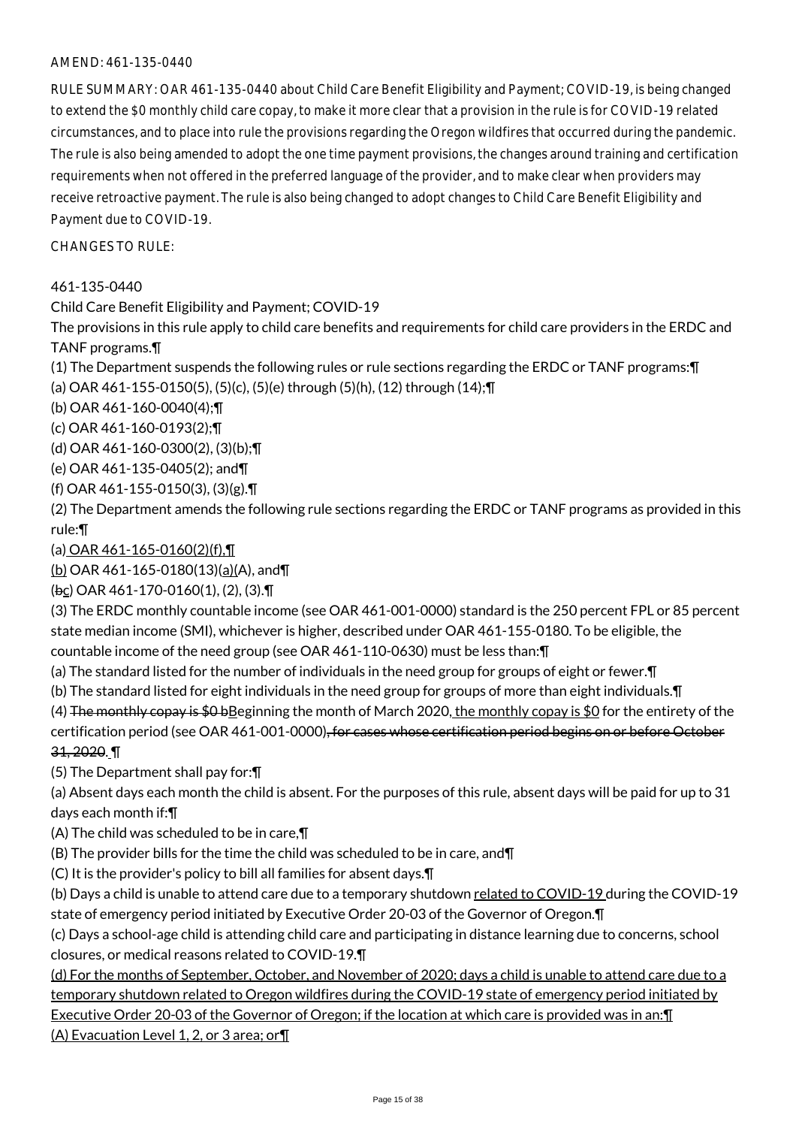RULE SUMMARY: OAR 461-135-0440 about Child Care Benefit Eligibility and Payment; COVID-19, is being changed to extend the \$0 monthly child care copay, to make it more clear that a provision in the rule is for COVID-19 related circumstances, and to place into rule the provisions regarding the Oregon wildfires that occurred during the pandemic. The rule is also being amended to adopt the one time payment provisions, the changes around training and certification requirements when not offered in the preferred language of the provider, and to make clear when providers may receive retroactive payment. The rule is also being changed to adopt changes to Child Care Benefit Eligibility and Payment due to COVID-19.

 $CHANGFS TO RUIF$ 

#### 461-135-0440

Child Care Benefit Eligibility and Payment; COVID-19

The provisions in this rule apply to child care benefits and requirements for child care providers in the ERDC and TANF programs.¶

(1) The Department suspends the following rules or rule sections regarding the ERDC or TANF programs:¶ (a) OAR 461-155-0150(5), (5)(c), (5)(e) through (5)(h), (12) through (14);¶

(b) OAR 461-160-0040(4);¶

(c) OAR 461-160-0193(2);¶

(d) OAR 461-160-0300(2), (3)(b);¶

(e) OAR 461-135-0405(2); and¶

(f) OAR 461-155-0150(3), (3)(g).¶

(2) The Department amends the following rule sections regarding the ERDC or TANF programs as provided in this rule:¶

(a) OAR 461-165-0160(2)(f),¶

(b) OAR 461-165-0180(13)(a)(A), and¶

(bc) OAR 461-170-0160(1), (2), (3).¶

(3) The ERDC monthly countable income (see OAR 461-001-0000) standard is the 250 percent FPL or 85 percent state median income (SMI), whichever is higher, described under OAR 461-155-0180. To be eligible, the countable income of the need group (see OAR 461-110-0630) must be less than:¶

- (a) The standard listed for the number of individuals in the need group for groups of eight or fewer.¶
- (b) The standard listed for eight individuals in the need group for groups of more than eight individuals.¶

(4) The monthly copay is  $$0 b$ Beginning the month of March 2020, the monthly copay is \$0 for the entirety of the certification period (see OAR 461-001-0000), for cases whose certification period begins on or before October 31, 2020. ¶

(5) The Department shall pay for:¶

(a) Absent days each month the child is absent. For the purposes of this rule, absent days will be paid for up to 31 days each month if:¶

(A) The child was scheduled to be in care,¶

(B) The provider bills for the time the child was scheduled to be in care, and¶

(C) It is the provider's policy to bill all families for absent days.¶

(b) Days a child is unable to attend care due to a temporary shutdown related to COVID-19 during the COVID-19 state of emergency period initiated by Executive Order 20-03 of the Governor of Oregon.¶

(c) Days a school-age child is attending child care and participating in distance learning due to concerns, school closures, or medical reasons related to COVID-19.¶

(d) For the months of September, October, and November of 2020; days a child is unable to attend care due to a temporary shutdown related to Oregon wildfires during the COVID-19 state of emergency period initiated by Executive Order 20-03 of the Governor of Oregon; if the location at which care is provided was in an:¶ (A) Evacuation Level 1, 2, or 3 area; or¶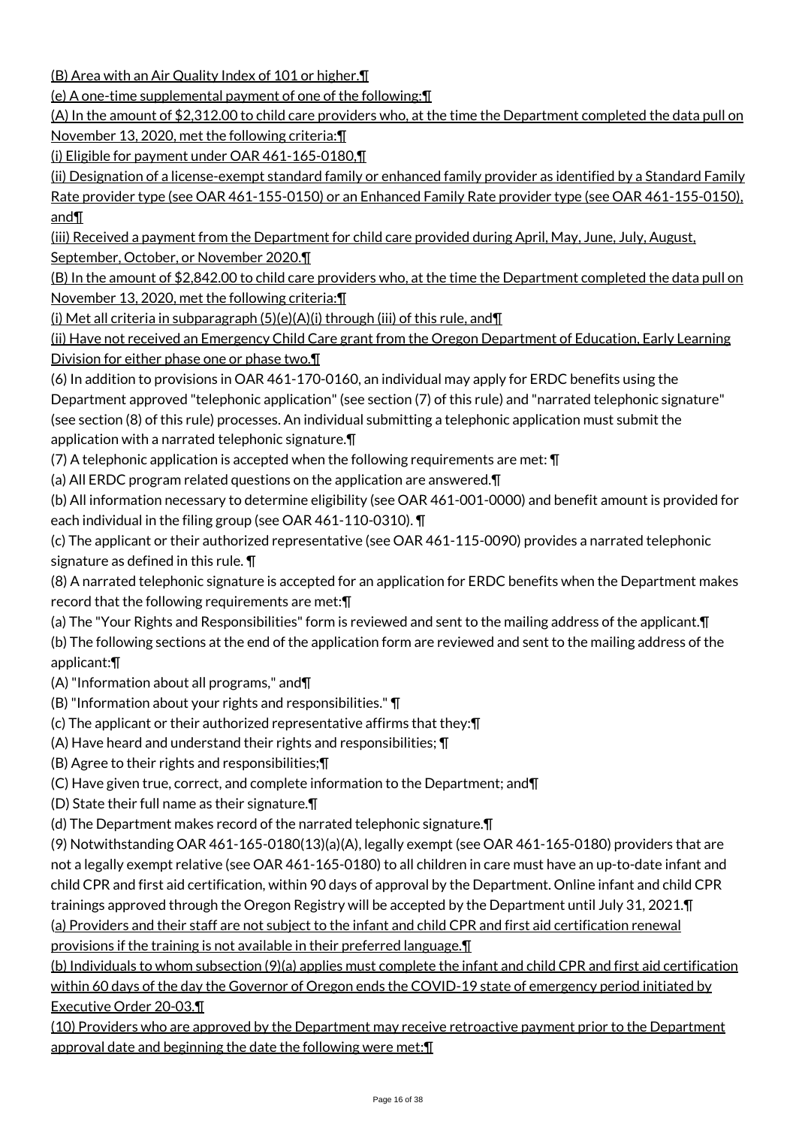(B) Area with an Air Quality Index of 101 or higher.¶

(e) A one-time supplemental payment of one of the following:¶

(A) In the amount of \$2,312.00 to child care providers who, at the time the Department completed the data pull on November 13, 2020, met the following criteria:¶

(i) Eligible for payment under OAR 461-165-0180,¶

(ii) Designation of a license-exempt standard family or enhanced family provider as identified by a Standard Family Rate provider type (see OAR 461-155-0150) or an Enhanced Family Rate provider type (see OAR 461-155-0150), and¶

(iii) Received a payment from the Department for child care provided during April, May, June, July, August, September, October, or November 2020.¶

(B) In the amount of \$2,842.00 to child care providers who, at the time the Department completed the data pull on November 13, 2020, met the following criteria:¶

(i) Met all criteria in subparagraph (5)(e)(A)(i) through (iii) of this rule, and¶

(ii) Have not received an Emergency Child Care grant from the Oregon Department of Education, Early Learning Division for either phase one or phase two.¶

(6) In addition to provisions in OAR 461-170-0160, an individual may apply for ERDC benefits using the Department approved "telephonic application" (see section (7) of this rule) and "narrated telephonic signature" (see section (8) of this rule) processes. An individual submitting a telephonic application must submit the application with a narrated telephonic signature.¶

(7) A telephonic application is accepted when the following requirements are met: ¶

(a) All ERDC program related questions on the application are answered.¶

(b) All information necessary to determine eligibility (see OAR 461-001-0000) and benefit amount is provided for each individual in the filing group (see OAR 461-110-0310). ¶

(c) The applicant or their authorized representative (see OAR 461-115-0090) provides a narrated telephonic signature as defined in this rule. ¶

(8) A narrated telephonic signature is accepted for an application for ERDC benefits when the Department makes record that the following requirements are met:¶

(a) The "Your Rights and Responsibilities" form is reviewed and sent to the mailing address of the applicant.¶

(b) The following sections at the end of the application form are reviewed and sent to the mailing address of the applicant:¶

(A) "Information about all programs," and¶

(B) "Information about your rights and responsibilities." ¶

(c) The applicant or their authorized representative affirms that they:¶

(A) Have heard and understand their rights and responsibilities; ¶

(B) Agree to their rights and responsibilities;¶

(C) Have given true, correct, and complete information to the Department; and¶

(D) State their full name as their signature.¶

(d) The Department makes record of the narrated telephonic signature.¶

(9) Notwithstanding OAR 461-165-0180(13)(a)(A), legally exempt (see OAR 461-165-0180) providers that are not a legally exempt relative (see OAR 461-165-0180) to all children in care must have an up-to-date infant and child CPR and first aid certification, within 90 days of approval by the Department. Online infant and child CPR trainings approved through the Oregon Registry will be accepted by the Department until July 31, 2021.¶ (a) Providers and their staff are not subject to the infant and child CPR and first aid certification renewal provisions if the training is not available in their preferred language.¶

(b) Individuals to whom subsection (9)(a) applies must complete the infant and child CPR and first aid certification within 60 days of the day the Governor of Oregon ends the COVID-19 state of emergency period initiated by Executive Order 20-03.¶

(10) Providers who are approved by the Department may receive retroactive payment prior to the Department approval date and beginning the date the following were met:¶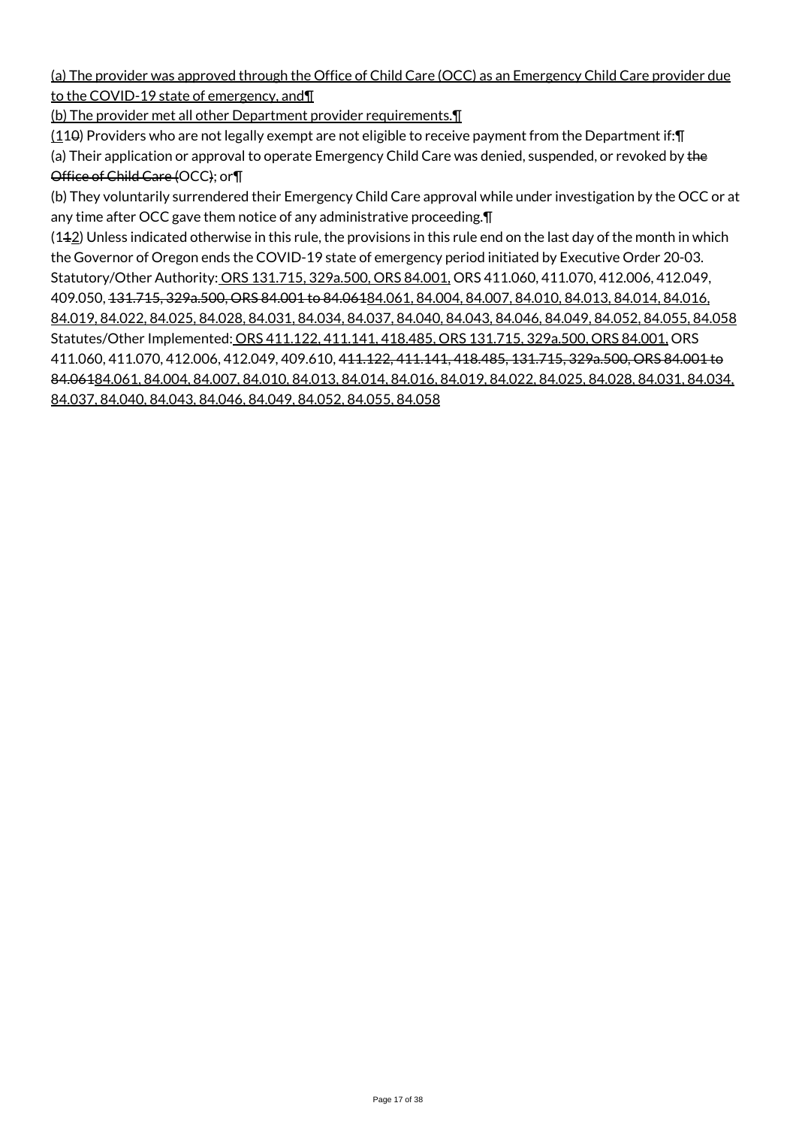(a) The provider was approved through the Office of Child Care (OCC) as an Emergency Child Care provider due to the COVID-19 state of emergency, and¶

(b) The provider met all other Department provider requirements.¶

 $(110)$  Providers who are not legally exempt are not eligible to receive payment from the Department if:  $\P$ 

(a) Their application or approval to operate Emergency Child Care was denied, suspended, or revoked by the Office of Child Care (OCC); or¶

(b) They voluntarily surrendered their Emergency Child Care approval while under investigation by the OCC or at any time after OCC gave them notice of any administrative proceeding.¶

 $(142)$  Unless indicated otherwise in this rule, the provisions in this rule end on the last day of the month in which the Governor of Oregon ends the COVID-19 state of emergency period initiated by Executive Order 20-03. Statutory/Other Authority: ORS 131.715, 329a.500, ORS 84.001, ORS 411.060, 411.070, 412.006, 412.049, 409.050, 131.715, 329a.500, ORS 84.001 to 84.06184.061, 84.004, 84.007, 84.010, 84.013, 84.014, 84.016, 84.019, 84.022, 84.025, 84.028, 84.031, 84.034, 84.037, 84.040, 84.043, 84.046, 84.049, 84.052, 84.055, 84.058 Statutes/Other Implemented: ORS 411.122, 411.141, 418.485, ORS 131.715, 329a.500, ORS 84.001, ORS 411.060, 411.070, 412.006, 412.049, 409.610, 411.122, 411.141, 418.485, 131.715, 329a.500, ORS 84.001 to 84.06184.061, 84.004, 84.007, 84.010, 84.013, 84.014, 84.016, 84.019, 84.022, 84.025, 84.028, 84.031, 84.034, 84.037, 84.040, 84.043, 84.046, 84.049, 84.052, 84.055, 84.058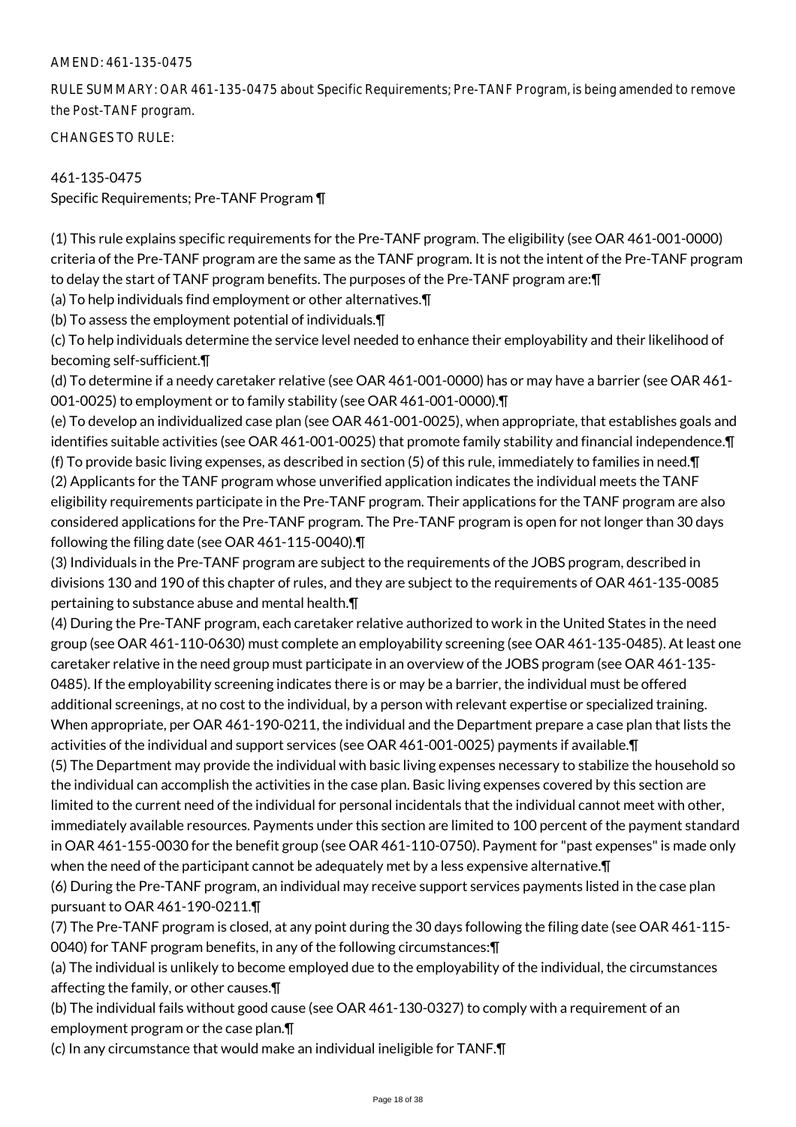RULE SUMMARY: OAR 461-135-0475 about Specific Requirements; Pre-TANF Program, is being amended to remove the Post-TANF program.

CHANGES TO RULE:

## 461-135-0475

Specific Requirements; Pre-TANF Program ¶

(1) This rule explains specific requirements for the Pre-TANF program. The eligibility (see OAR 461-001-0000) criteria of the Pre-TANF program are the same as the TANF program. It is not the intent of the Pre-TANF program to delay the start of TANF program benefits. The purposes of the Pre-TANF program are:¶

(a) To help individuals find employment or other alternatives.¶

(b) To assess the employment potential of individuals.¶

(c) To help individuals determine the service level needed to enhance their employability and their likelihood of becoming self-sufficient.¶

(d) To determine if a needy caretaker relative (see OAR 461-001-0000) has or may have a barrier (see OAR 461- 001-0025) to employment or to family stability (see OAR 461-001-0000).¶

(e) To develop an individualized case plan (see OAR 461-001-0025), when appropriate, that establishes goals and identifies suitable activities (see OAR 461-001-0025) that promote family stability and financial independence.¶ (f) To provide basic living expenses, as described in section (5) of this rule, immediately to families in need.¶ (2) Applicants for the TANF program whose unverified application indicates the individual meets the TANF eligibility requirements participate in the Pre-TANF program. Their applications for the TANF program are also considered applications for the Pre-TANF program. The Pre-TANF program is open for not longer than 30 days following the filing date (see OAR 461-115-0040).¶

(3) Individuals in the Pre-TANF program are subject to the requirements of the JOBS program, described in divisions 130 and 190 of this chapter of rules, and they are subject to the requirements of OAR 461-135-0085 pertaining to substance abuse and mental health.¶

(4) During the Pre-TANF program, each caretaker relative authorized to work in the United States in the need group (see OAR 461-110-0630) must complete an employability screening (see OAR 461-135-0485). At least one caretaker relative in the need group must participate in an overview of the JOBS program (see OAR 461-135- 0485). If the employability screening indicates there is or may be a barrier, the individual must be offered additional screenings, at no cost to the individual, by a person with relevant expertise or specialized training. When appropriate, per OAR 461-190-0211, the individual and the Department prepare a case plan that lists the activities of the individual and support services (see OAR 461-001-0025) payments if available.¶

(5) The Department may provide the individual with basic living expenses necessary to stabilize the household so the individual can accomplish the activities in the case plan. Basic living expenses covered by this section are limited to the current need of the individual for personal incidentals that the individual cannot meet with other, immediately available resources. Payments under this section are limited to 100 percent of the payment standard in OAR 461-155-0030 for the benefit group (see OAR 461-110-0750). Payment for "past expenses" is made only when the need of the participant cannot be adequately met by a less expensive alternative.¶

(6) During the Pre-TANF program, an individual may receive support services payments listed in the case plan pursuant to OAR 461-190-0211.¶

(7) The Pre-TANF program is closed, at any point during the 30 days following the filing date (see OAR 461-115- 0040) for TANF program benefits, in any of the following circumstances:¶

(a) The individual is unlikely to become employed due to the employability of the individual, the circumstances affecting the family, or other causes.¶

(b) The individual fails without good cause (see OAR 461-130-0327) to comply with a requirement of an employment program or the case plan.¶

(c) In any circumstance that would make an individual ineligible for TANF.¶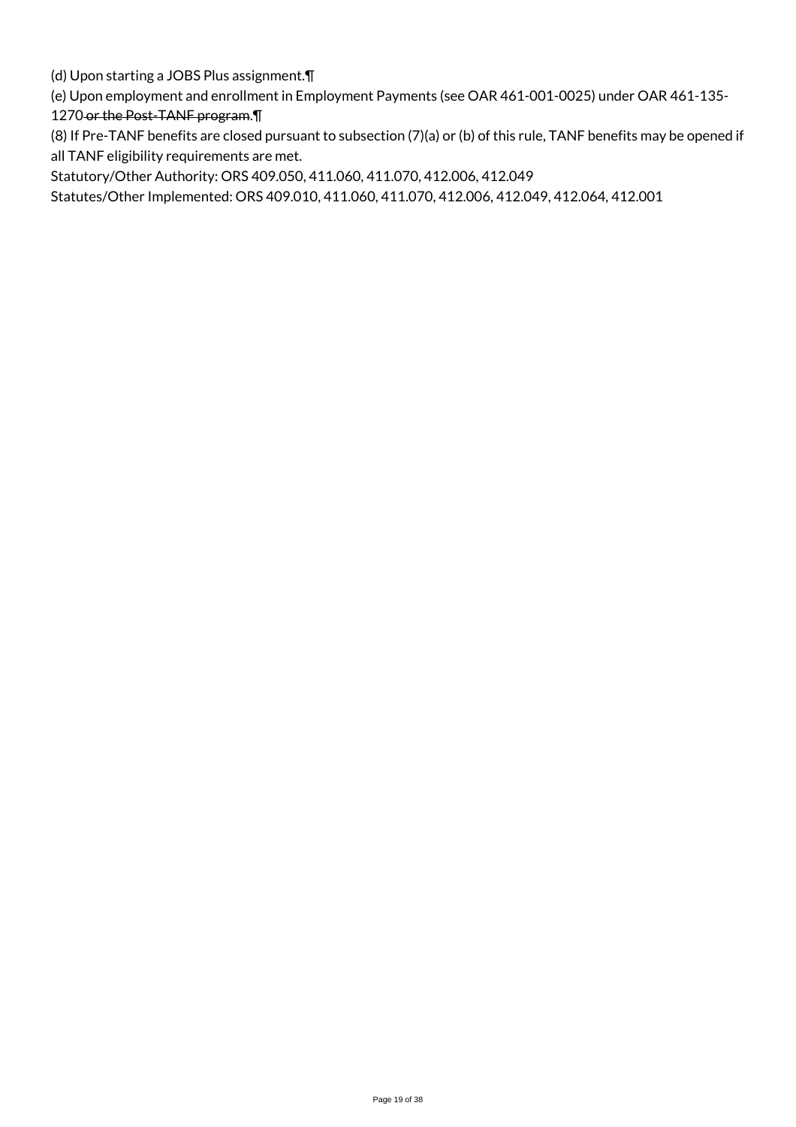(d) Upon starting a JOBS Plus assignment.¶

(e) Upon employment and enrollment in Employment Payments (see OAR 461-001-0025) under OAR 461-135-

# 1270 or the Post-TANF program. \

(8) If Pre-TANF benefits are closed pursuant to subsection (7)(a) or (b) of this rule, TANF benefits may be opened if all TANF eligibility requirements are met.

Statutory/Other Authority: ORS 409.050, 411.060, 411.070, 412.006, 412.049

Statutes/Other Implemented: ORS 409.010, 411.060, 411.070, 412.006, 412.049, 412.064, 412.001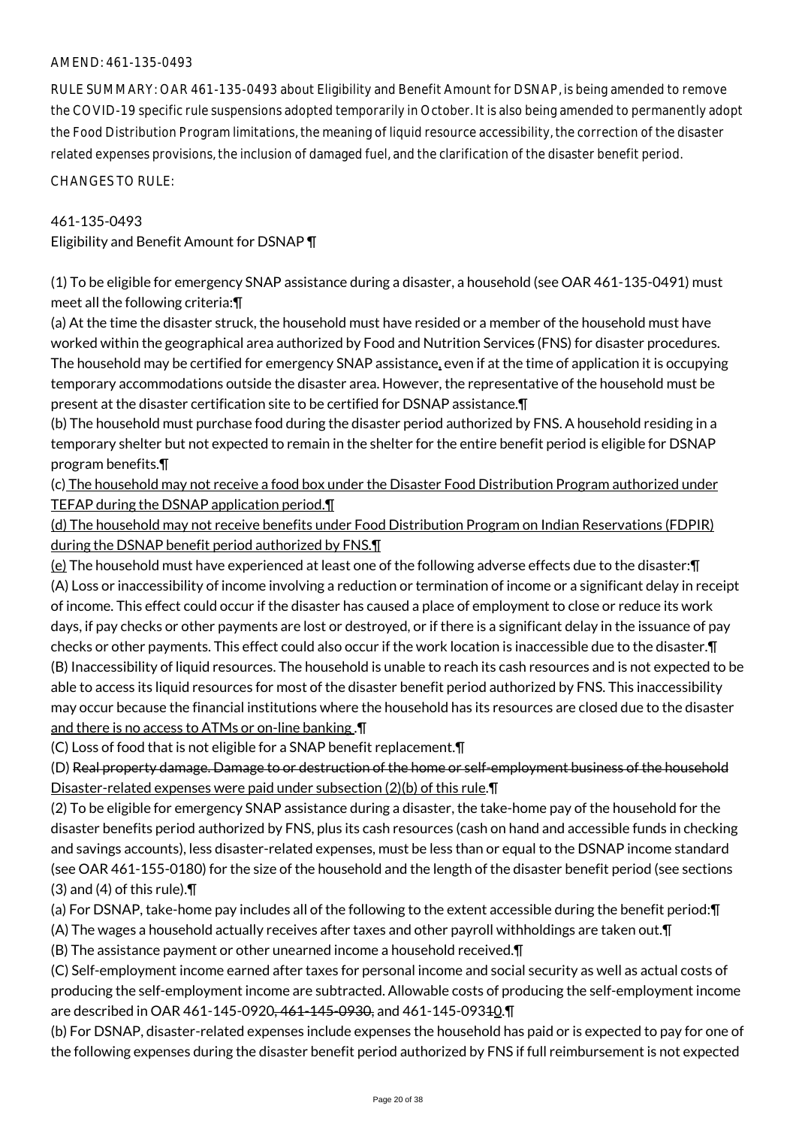RULE SUMMARY: OAR 461-135-0493 about Eligibility and Benefit Amount for DSNAP, is being amended to remove the COVID-19 specific rule suspensions adopted temporarily in October. It is also being amended to permanently adopt the Food Distribution Program limitations, the meaning of liquid resource accessibility, the correction of the disaster related expenses provisions, the inclusion of damaged fuel, and the clarification of the disaster benefit period.

CHANGES TO RULE:

#### 461-135-0493

Eligibility and Benefit Amount for DSNAP ¶

(1) To be eligible for emergency SNAP assistance during a disaster, a household (see OAR 461-135-0491) must meet all the following criteria:¶

(a) At the time the disaster struck, the household must have resided or a member of the household must have worked within the geographical area authorized by Food and Nutrition Services (FNS) for disaster procedures. The household may be certified for emergency SNAP assistance, even if at the time of application it is occupying temporary accommodations outside the disaster area. However, the representative of the household must be present at the disaster certification site to be certified for DSNAP assistance.¶

(b) The household must purchase food during the disaster period authorized by FNS. A household residing in a temporary shelter but not expected to remain in the shelter for the entire benefit period is eligible for DSNAP program benefits.¶

(c) The household may not receive a food box under the Disaster Food Distribution Program authorized under TEFAP during the DSNAP application period.¶

(d) The household may not receive benefits under Food Distribution Program on Indian Reservations (FDPIR) during the DSNAP benefit period authorized by FNS.¶

(e) The household must have experienced at least one of the following adverse effects due to the disaster:¶ (A) Loss or inaccessibility of income involving a reduction or termination of income or a significant delay in receipt of income. This effect could occur if the disaster has caused a place of employment to close or reduce its work days, if pay checks or other payments are lost or destroyed, or if there is a significant delay in the issuance of pay checks or other payments. This effect could also occur if the work location is inaccessible due to the disaster.¶ (B) Inaccessibility of liquid resources. The household is unable to reach its cash resources and is not expected to be able to access its liquid resources for most of the disaster benefit period authorized by FNS. This inaccessibility may occur because the financial institutions where the household has its resources are closed due to the disaster and there is no access to ATMs or on-line banking .¶

(C) Loss of food that is not eligible for a SNAP benefit replacement.¶

(D) Real property damage. Damage to or destruction of the home or self-employment business of the household Disaster-related expenses were paid under subsection (2)(b) of this rule.¶

(2) To be eligible for emergency SNAP assistance during a disaster, the take-home pay of the household for the disaster benefits period authorized by FNS, plus its cash resources (cash on hand and accessible funds in checking and savings accounts), less disaster-related expenses, must be less than or equal to the DSNAP income standard (see OAR 461-155-0180) for the size of the household and the length of the disaster benefit period (see sections (3) and (4) of this rule).¶

(a) For DSNAP, take-home pay includes all of the following to the extent accessible during the benefit period:¶

(A) The wages a household actually receives after taxes and other payroll withholdings are taken out.¶

(B) The assistance payment or other unearned income a household received.¶

(C) Self-employment income earned after taxes for personal income and social security as well as actual costs of producing the self-employment income are subtracted. Allowable costs of producing the self-employment income are described in OAR 461-145-0920<del>, 461-145-0930,</del> and 461-145-09340.

(b) For DSNAP, disaster-related expenses include expenses the household has paid or is expected to pay for one of the following expenses during the disaster benefit period authorized by FNS if full reimbursement is not expected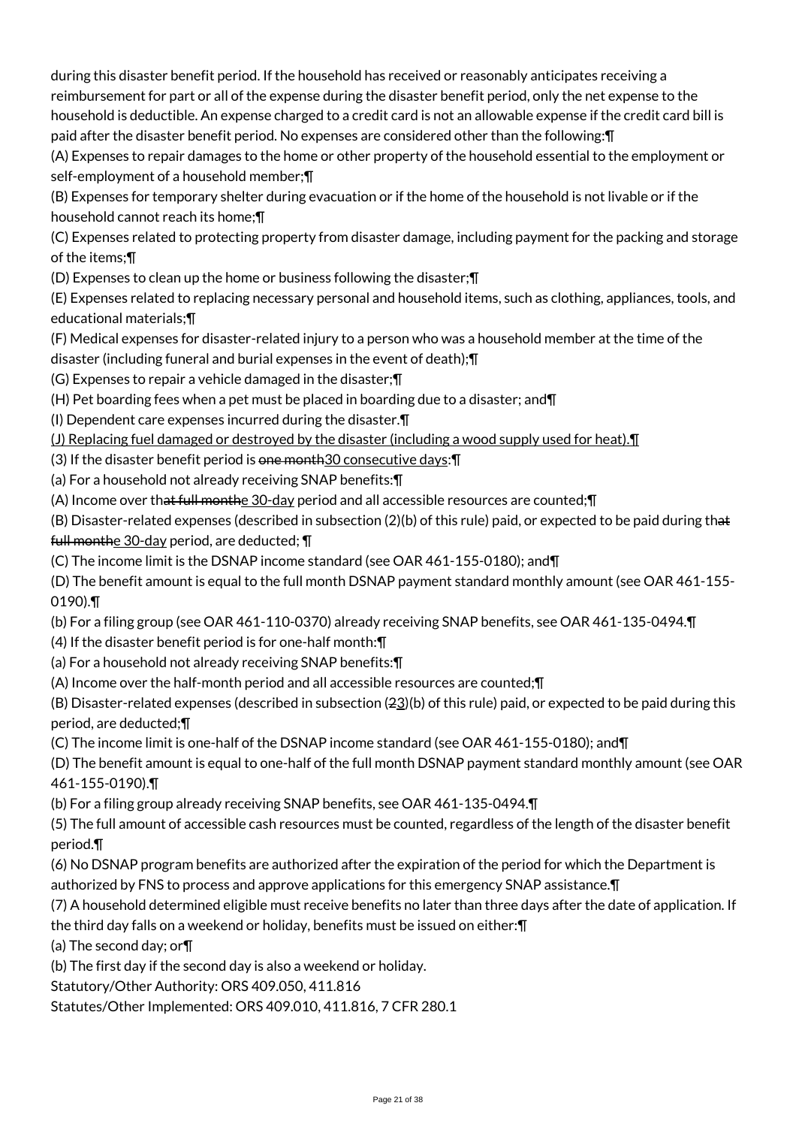during this disaster benefit period. If the household has received or reasonably anticipates receiving a reimbursement for part or all of the expense during the disaster benefit period, only the net expense to the household is deductible. An expense charged to a credit card is not an allowable expense if the credit card bill is paid after the disaster benefit period. No expenses are considered other than the following:¶

(A) Expenses to repair damages to the home or other property of the household essential to the employment or self-employment of a household member;¶

(B) Expenses for temporary shelter during evacuation or if the home of the household is not livable or if the household cannot reach its home;¶

(C) Expenses related to protecting property from disaster damage, including payment for the packing and storage of the items;¶

(D) Expenses to clean up the home or business following the disaster;¶

(E) Expenses related to replacing necessary personal and household items, such as clothing, appliances, tools, and educational materials;¶

(F) Medical expenses for disaster-related injury to a person who was a household member at the time of the disaster (including funeral and burial expenses in the event of death);¶

(G) Expenses to repair a vehicle damaged in the disaster;¶

(H) Pet boarding fees when a pet must be placed in boarding due to a disaster; and¶

(I) Dependent care expenses incurred during the disaster.¶

(J) Replacing fuel damaged or destroyed by the disaster (including a wood supply used for heat).¶

(3) If the disaster benefit period is one month30 consecutive days: []

(a) For a household not already receiving SNAP benefits:¶

(A) Income over that full monthe  $30$ -day period and all accessible resources are counted; $\P$ 

(B) Disaster-related expenses (described in subsection (2)(b) of this rule) paid, or expected to be paid during that full monthe 30-day period, are deducted; ¶

(C) The income limit is the DSNAP income standard (see OAR 461-155-0180); and¶

(D) The benefit amount is equal to the full month DSNAP payment standard monthly amount (see OAR 461-155- 0190).¶

(b) For a filing group (see OAR 461-110-0370) already receiving SNAP benefits, see OAR 461-135-0494.¶

(4) If the disaster benefit period is for one-half month:¶

(a) For a household not already receiving SNAP benefits:¶

(A) Income over the half-month period and all accessible resources are counted;¶

(B) Disaster-related expenses (described in subsection  $(22)(b)$  of this rule) paid, or expected to be paid during this period, are deducted;¶

(C) The income limit is one-half of the DSNAP income standard (see OAR 461-155-0180); and¶

(D) The benefit amount is equal to one-half of the full month DSNAP payment standard monthly amount (see OAR 461-155-0190).¶

(b) For a filing group already receiving SNAP benefits, see OAR 461-135-0494.¶

(5) The full amount of accessible cash resources must be counted, regardless of the length of the disaster benefit period.¶

(6) No DSNAP program benefits are authorized after the expiration of the period for which the Department is authorized by FNS to process and approve applications for this emergency SNAP assistance.¶

(7) A household determined eligible must receive benefits no later than three days after the date of application. If the third day falls on a weekend or holiday, benefits must be issued on either:¶

(a) The second day; or¶

(b) The first day if the second day is also a weekend or holiday.

Statutory/Other Authority: ORS 409.050, 411.816

Statutes/Other Implemented: ORS 409.010, 411.816, 7 CFR 280.1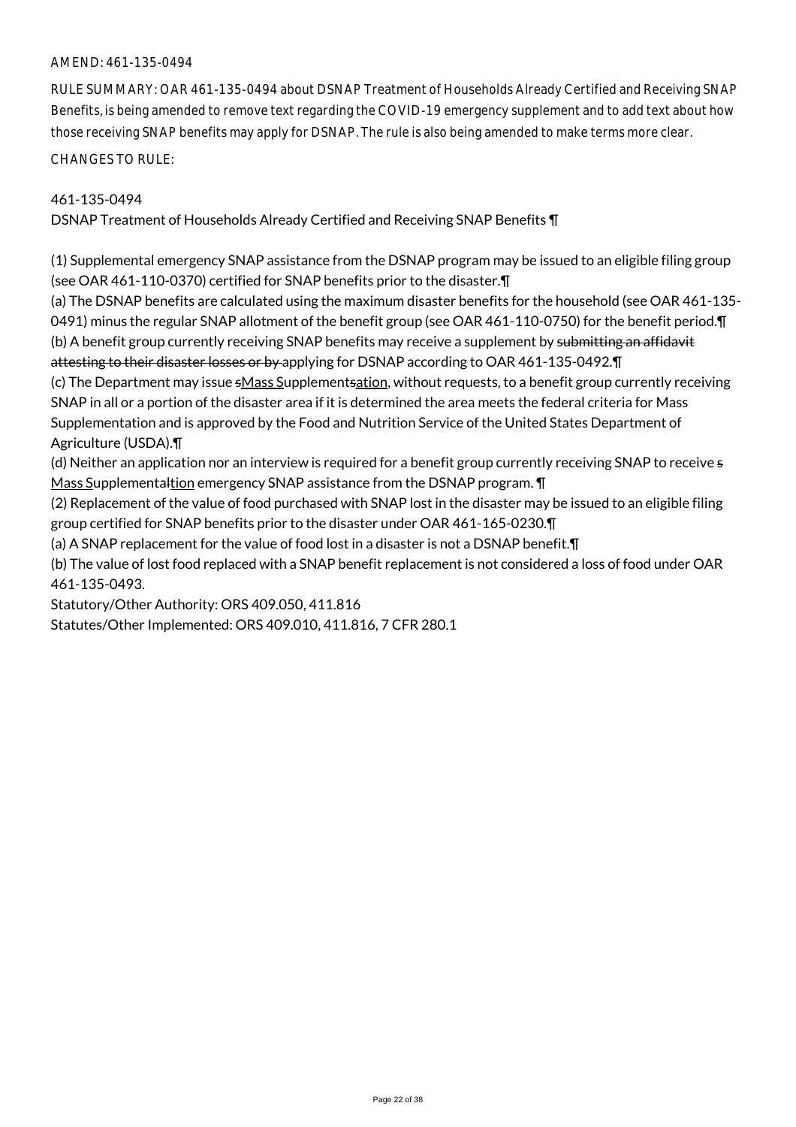RULE SUMMARY: OAR 461-135-0494 about DSNAP Treatment of Households Already Certified and Receiving SNAP Benefits, is being amended to remove text regarding the COVID-19 emergency supplement and to add text about how those receiving SNAP benefits may apply for DSNAP. The rule is also being amended to make terms more clear.

CHANGES TO RULE:

## 461-135-0494

DSNAP Treatment of Households Already Certified and Receiving SNAP Benefits ¶

(1) Supplemental emergency SNAP assistance from the DSNAP program may be issued to an eligible filing group (see OAR 461-110-0370) certified for SNAP benefits prior to the disaster.¶

(a) The DSNAP benefits are calculated using the maximum disaster benefits for the household (see OAR 461-135- 0491) minus the regular SNAP allotment of the benefit group (see OAR 461-110-0750) for the benefit period.¶ (b) A benefit group currently receiving SNAP benefits may receive a supplement by submitting an affidavit attesting to their disaster losses or by applying for DSNAP according to OAR 461-135-0492. T

(c) The Department may issue sMass Supplementsation, without requests, to a benefit group currently receiving SNAP in all or a portion of the disaster area if it is determined the area meets the federal criteria for Mass Supplementation and is approved by the Food and Nutrition Service of the United States Department of Agriculture (USDA).¶

(d) Neither an application nor an interview is required for a benefit group currently receiving SNAP to receive s Mass Supplementaltion emergency SNAP assistance from the DSNAP program. T

(2) Replacement of the value of food purchased with SNAP lost in the disaster may be issued to an eligible filing group certified for SNAP benefits prior to the disaster under OAR 461-165-0230.¶

(a) A SNAP replacement for the value of food lost in a disaster is not a DSNAP benefit.¶

(b) The value of lost food replaced with a SNAP benefit replacement is not considered a loss of food under OAR 461-135-0493.

Statutory/Other Authority: ORS 409.050, 411.816

Statutes/Other Implemented: ORS 409.010, 411.816, 7 CFR 280.1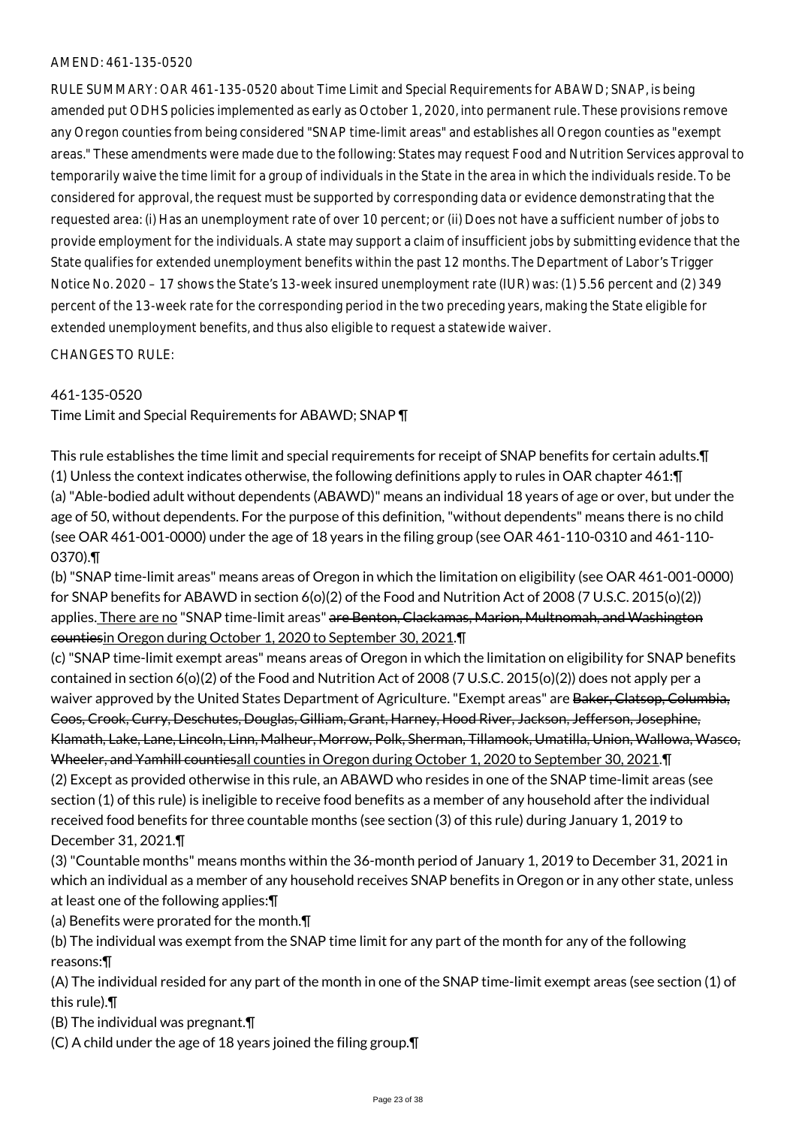RULE SUMMARY: OAR 461-135-0520 about Time Limit and Special Requirements for ABAWD; SNAP, is being amended put ODHS policies implemented as early as October 1, 2020, into permanent rule. These provisions remove any Oregon counties from being considered "SNAP time-limit areas" and establishes all Oregon counties as "exempt areas." These amendments were made due to the following: States may request Food and Nutrition Services approval to temporarily waive the time limit for a group of individuals in the State in the area in which the individuals reside. To be considered for approval, the request must be supported by corresponding data or evidence demonstrating that the requested area: (i) Has an unemployment rate of over 10 percent; or (ii) Does not have a sufficient number of jobs to provide employment for the individuals. A state may support a claim of insufficient jobs by submitting evidence that the State qualifies for extended unemployment benefits within the past 12 months. The Department of Labor's Trigger Notice No. 2020 – 17 shows the State's 13-week insured unemployment rate (IUR) was: (1) 5.56 percent and (2) 349 percent of the 13-week rate for the corresponding period in the two preceding years, making the State eligible for extended unemployment benefits, and thus also eligible to request a statewide waiver.

CHANGES TO RULE:

461-135-0520

Time Limit and Special Requirements for ABAWD; SNAP ¶

This rule establishes the time limit and special requirements for receipt of SNAP benefits for certain adults.¶ (1) Unless the context indicates otherwise, the following definitions apply to rules in OAR chapter 461:¶ (a) "Able-bodied adult without dependents (ABAWD)" means an individual 18 years of age or over, but under the age of 50, without dependents. For the purpose of this definition, "without dependents" means there is no child (see OAR 461-001-0000) under the age of 18 years in the filing group (see OAR 461-110-0310 and 461-110- 0370).¶

(b) "SNAP time-limit areas" means areas of Oregon in which the limitation on eligibility (see OAR 461-001-0000) for SNAP benefits for ABAWD in section 6(o)(2) of the Food and Nutrition Act of 2008 (7 U.S.C. 2015(o)(2)) applies. There are no "SNAP time-limit areas" are Benton, Clackamas, Marion, Multnomah, and Washington countiesin Oregon during October 1, 2020 to September 30, 2021.¶

(c) "SNAP time-limit exempt areas" means areas of Oregon in which the limitation on eligibility for SNAP benefits contained in section 6(o)(2) of the Food and Nutrition Act of 2008 (7 U.S.C. 2015(o)(2)) does not apply per a waiver approved by the United States Department of Agriculture. "Exempt areas" are <del>Baker, Clatsop, Columbia,</del> Coos, Crook, Curry, Deschutes, Douglas, Gilliam, Grant, Harney, Hood River, Jackson, Jefferson, Josephine, Klamath, Lake, Lane, Lincoln, Linn, Malheur, Morrow, Polk, Sherman, Tillamook, Umatilla, Union, Wallowa, Wasco, Wheeler, and Yamhill countiesall counties in Oregon during October 1, 2020 to September 30, 2021.¶ (2) Except as provided otherwise in this rule, an ABAWD who resides in one of the SNAP time-limit areas (see section (1) of this rule) is ineligible to receive food benefits as a member of any household after the individual received food benefits for three countable months (see section (3) of this rule) during January 1, 2019 to December 31, 2021.¶

(3) "Countable months" means months within the 36-month period of January 1, 2019 to December 31, 2021 in which an individual as a member of any household receives SNAP benefits in Oregon or in any other state, unless at least one of the following applies:¶

(a) Benefits were prorated for the month.¶

(b) The individual was exempt from the SNAP time limit for any part of the month for any of the following reasons:¶

(A) The individual resided for any part of the month in one of the SNAP time-limit exempt areas (see section (1) of this rule).¶

(B) The individual was pregnant.¶

(C) A child under the age of 18 years joined the filing group.¶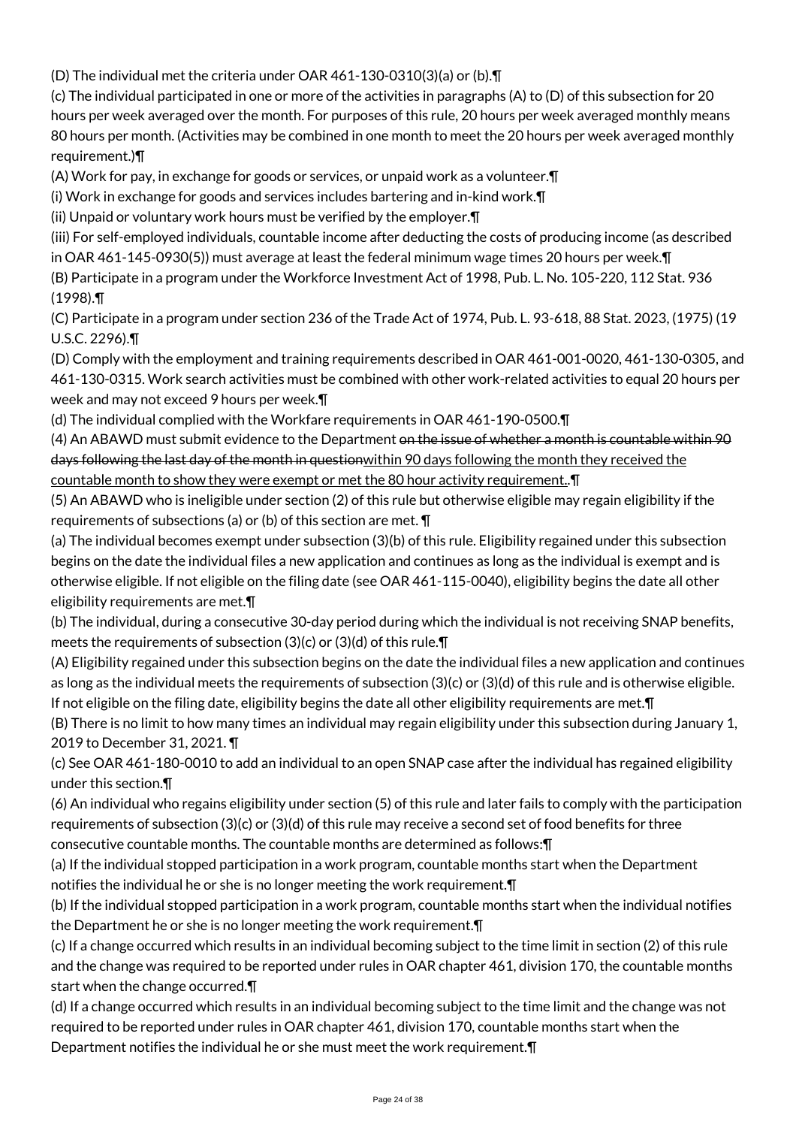(D) The individual met the criteria under OAR 461-130-0310(3)(a) or (b).¶

(c) The individual participated in one or more of the activities in paragraphs (A) to (D) of this subsection for 20 hours per week averaged over the month. For purposes of this rule, 20 hours per week averaged monthly means 80 hours per month. (Activities may be combined in one month to meet the 20 hours per week averaged monthly requirement.)¶

(A) Work for pay, in exchange for goods or services, or unpaid work as a volunteer.¶

(i) Work in exchange for goods and services includes bartering and in-kind work.¶

(ii) Unpaid or voluntary work hours must be verified by the employer.¶

(iii) For self-employed individuals, countable income after deducting the costs of producing income (as described in OAR 461-145-0930(5)) must average at least the federal minimum wage times 20 hours per week.¶

(B) Participate in a program under the Workforce Investment Act of 1998, Pub. L. No. 105-220, 112 Stat. 936 (1998).¶

(C) Participate in a program under section 236 of the Trade Act of 1974, Pub. L. 93-618, 88 Stat. 2023, (1975) (19 U.S.C. 2296).¶

(D) Comply with the employment and training requirements described in OAR 461-001-0020, 461-130-0305, and 461-130-0315. Work search activities must be combined with other work-related activities to equal 20 hours per week and may not exceed 9 hours per week.¶

(d) The individual complied with the Workfare requirements in OAR 461-190-0500.¶

(4) An ABAWD must submit evidence to the Department on the issue of whether a month is countable within 90 days following the last day of the month in questionwithin 90 days following the month they received the countable month to show they were exempt or met the 80 hour activity requirement..¶

(5) An ABAWD who is ineligible under section (2) of this rule but otherwise eligible may regain eligibility if the requirements of subsections (a) or (b) of this section are met. ¶

(a) The individual becomes exempt under subsection (3)(b) of this rule. Eligibility regained under this subsection begins on the date the individual files a new application and continues as long as the individual is exempt and is otherwise eligible. If not eligible on the filing date (see OAR 461-115-0040), eligibility begins the date all other eligibility requirements are met.¶

(b) The individual, during a consecutive 30-day period during which the individual is not receiving SNAP benefits, meets the requirements of subsection (3)(c) or (3)(d) of this rule.¶

(A) Eligibility regained under this subsection begins on the date the individual files a new application and continues as long as the individual meets the requirements of subsection (3)(c) or (3)(d) of this rule and is otherwise eligible. If not eligible on the filing date, eligibility begins the date all other eligibility requirements are met.¶

(B) There is no limit to how many times an individual may regain eligibility under this subsection during January 1, 2019 to December 31, 2021. ¶

(c) See OAR 461-180-0010 to add an individual to an open SNAP case after the individual has regained eligibility under this section.¶

(6) An individual who regains eligibility under section (5) of this rule and later fails to comply with the participation requirements of subsection (3)(c) or (3)(d) of this rule may receive a second set of food benefits for three consecutive countable months. The countable months are determined as follows:¶

(a) If the individual stopped participation in a work program, countable months start when the Department notifies the individual he or she is no longer meeting the work requirement.¶

(b) If the individual stopped participation in a work program, countable months start when the individual notifies the Department he or she is no longer meeting the work requirement.¶

(c) If a change occurred which results in an individual becoming subject to the time limit in section (2) of this rule and the change was required to be reported under rules in OAR chapter 461, division 170, the countable months start when the change occurred.¶

(d) If a change occurred which results in an individual becoming subject to the time limit and the change was not required to be reported under rules in OAR chapter 461, division 170, countable months start when the Department notifies the individual he or she must meet the work requirement.¶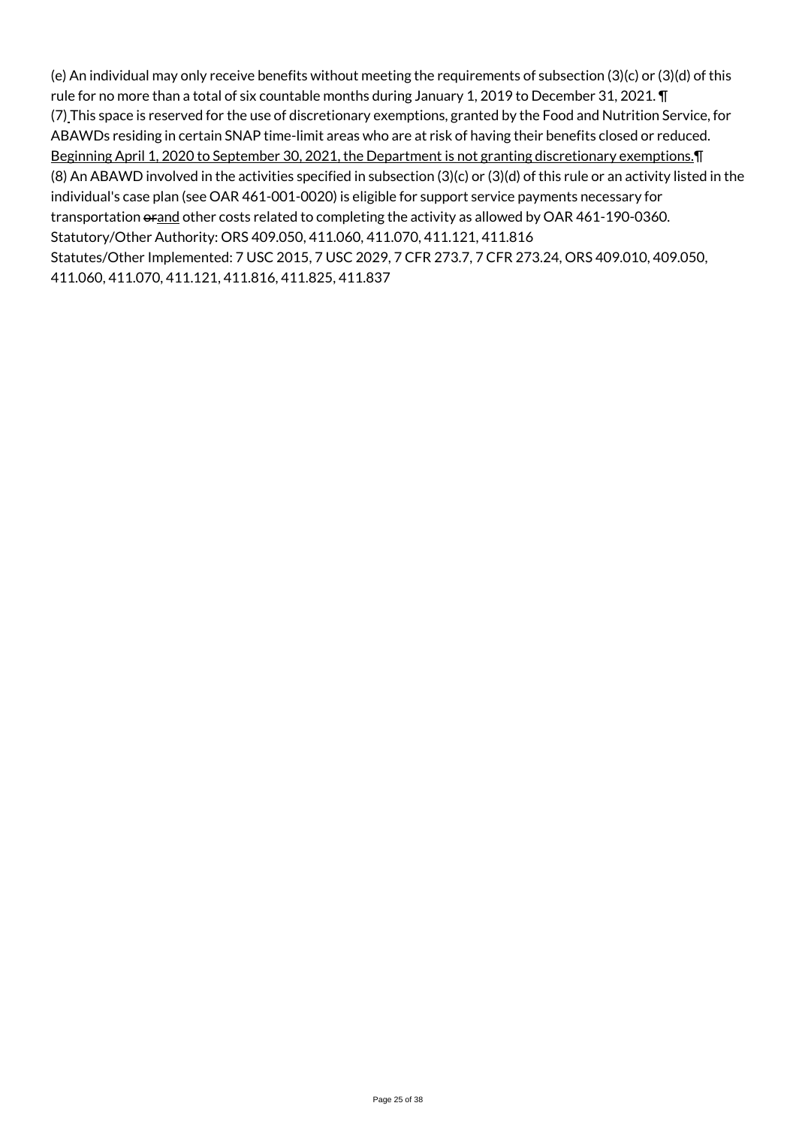(e) An individual may only receive benefits without meeting the requirements of subsection (3)(c) or (3)(d) of this rule for no more than a total of six countable months during January 1, 2019 to December 31, 2021. ¶ (7) This space is reserved for the use of discretionary exemptions, granted by the Food and Nutrition Service, for ABAWDs residing in certain SNAP time-limit areas who are at risk of having their benefits closed or reduced. Beginning April 1, 2020 to September 30, 2021, the Department is not granting discretionary exemptions.¶ (8) An ABAWD involved in the activities specified in subsection (3)(c) or (3)(d) of this rule or an activity listed in the individual's case plan (see OAR 461-001-0020) is eligible for support service payments necessary for transportation orand other costs related to completing the activity as allowed by OAR 461-190-0360. Statutory/Other Authority: ORS 409.050, 411.060, 411.070, 411.121, 411.816 Statutes/Other Implemented: 7 USC 2015, 7 USC 2029, 7 CFR 273.7, 7 CFR 273.24, ORS 409.010, 409.050, 411.060, 411.070, 411.121, 411.816, 411.825, 411.837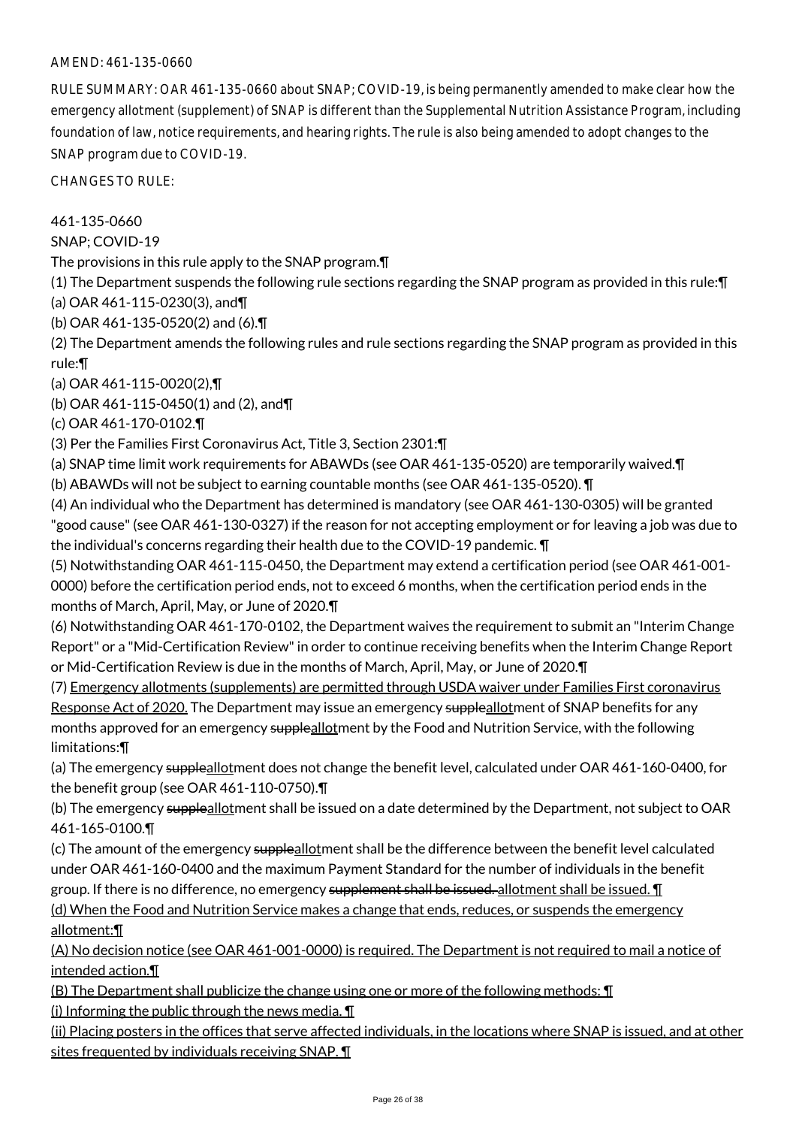RULE SUMMARY: OAR 461-135-0660 about SNAP; COVID-19, is being permanently amended to make clear how the emergency allotment (supplement) of SNAP is different than the Supplemental Nutrition Assistance Program, including foundation of law, notice requirements, and hearing rights. The rule is also being amended to adopt changes to the SNAP program due to COVID-19.

CHANGES TO RULE:

461-135-0660

SNAP; COVID-19

The provisions in this rule apply to the SNAP program.¶

(1) The Department suspends the following rule sections regarding the SNAP program as provided in this rule:¶ (a) OAR 461-115-0230(3), and¶

(b) OAR 461-135-0520(2) and (6).¶

(2) The Department amends the following rules and rule sections regarding the SNAP program as provided in this

rule:¶

(a) OAR 461-115-0020(2),¶

(b) OAR 461-115-0450(1) and (2), and¶

(c) OAR 461-170-0102.¶

(3) Per the Families First Coronavirus Act, Title 3, Section 2301:¶

(a) SNAP time limit work requirements for ABAWDs (see OAR 461-135-0520) are temporarily waived.¶

(b) ABAWDs will not be subject to earning countable months (see OAR 461-135-0520). ¶

(4) An individual who the Department has determined is mandatory (see OAR 461-130-0305) will be granted "good cause" (see OAR 461-130-0327) if the reason for not accepting employment or for leaving a job was due to the individual's concerns regarding their health due to the COVID-19 pandemic. ¶

(5) Notwithstanding OAR 461-115-0450, the Department may extend a certification period (see OAR 461-001- 0000) before the certification period ends, not to exceed 6 months, when the certification period ends in the months of March, April, May, or June of 2020.¶

(6) Notwithstanding OAR 461-170-0102, the Department waives the requirement to submit an "Interim Change Report" or a "Mid-Certification Review" in order to continue receiving benefits when the Interim Change Report or Mid-Certification Review is due in the months of March, April, May, or June of 2020.¶

(7) Emergency allotments (supplements) are permitted through USDA waiver under Families First coronavirus Response Act of 2020. The Department may issue an emergency suppleallotment of SNAP benefits for any months approved for an emergency suppleallotment by the Food and Nutrition Service, with the following limitations:¶

(a) The emergency suppleallotment does not change the benefit level, calculated under OAR 461-160-0400, for the benefit group (see OAR 461-110-0750).¶

(b) The emergency suppleallotment shall be issued on a date determined by the Department, not subject to OAR 461-165-0100.¶

(c) The amount of the emergency suppleallotment shall be the difference between the benefit level calculated under OAR 461-160-0400 and the maximum Payment Standard for the number of individuals in the benefit group. If there is no difference, no emergency supplement shall be issued. allotment shall be issued. T (d) When the Food and Nutrition Service makes a change that ends, reduces, or suspends the emergency allotment:¶

(A) No decision notice (see OAR 461-001-0000) is required. The Department is not required to mail a notice of intended action.¶

(B) The Department shall publicize the change using one or more of the following methods: ¶

(i) Informing the public through the news media. ¶

(ii) Placing posters in the offices that serve affected individuals, in the locations where SNAP is issued, and at other sites frequented by individuals receiving SNAP. ¶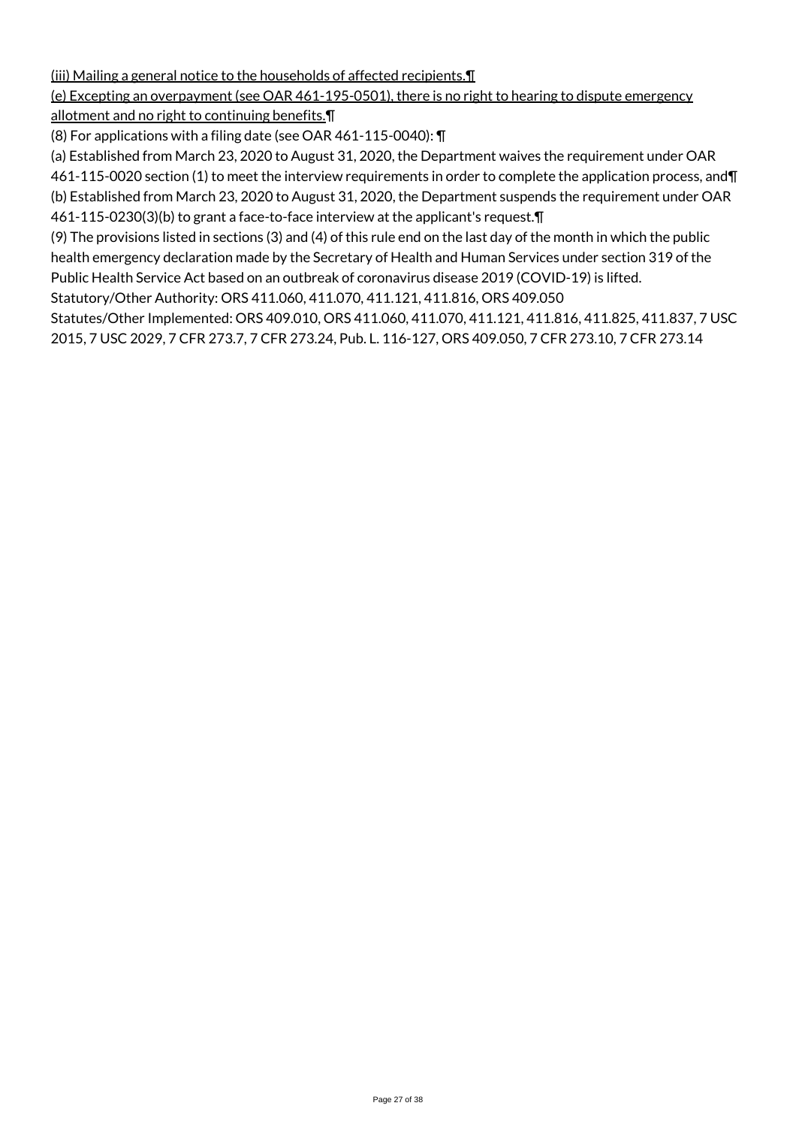(iii) Mailing a general notice to the households of affected recipients.¶

## (e) Excepting an overpayment (see OAR 461-195-0501), there is no right to hearing to dispute emergency

allotment and no right to continuing benefits.¶

(8) For applications with a filing date (see OAR 461-115-0040): ¶

(a) Established from March 23, 2020 to August 31, 2020, the Department waives the requirement under OAR

461-115-0020 section (1) to meet the interview requirements in order to complete the application process, and¶ (b) Established from March 23, 2020 to August 31, 2020, the Department suspends the requirement under OAR

461-115-0230(3)(b) to grant a face-to-face interview at the applicant's request.¶

(9) The provisions listed in sections (3) and (4) of this rule end on the last day of the month in which the public health emergency declaration made by the Secretary of Health and Human Services under section 319 of the Public Health Service Act based on an outbreak of coronavirus disease 2019 (COVID-19) is lifted.

Statutory/Other Authority: ORS 411.060, 411.070, 411.121, 411.816, ORS 409.050

Statutes/Other Implemented: ORS 409.010, ORS 411.060, 411.070, 411.121, 411.816, 411.825, 411.837, 7 USC 2015, 7 USC 2029, 7 CFR 273.7, 7 CFR 273.24, Pub. L. 116-127, ORS 409.050, 7 CFR 273.10, 7 CFR 273.14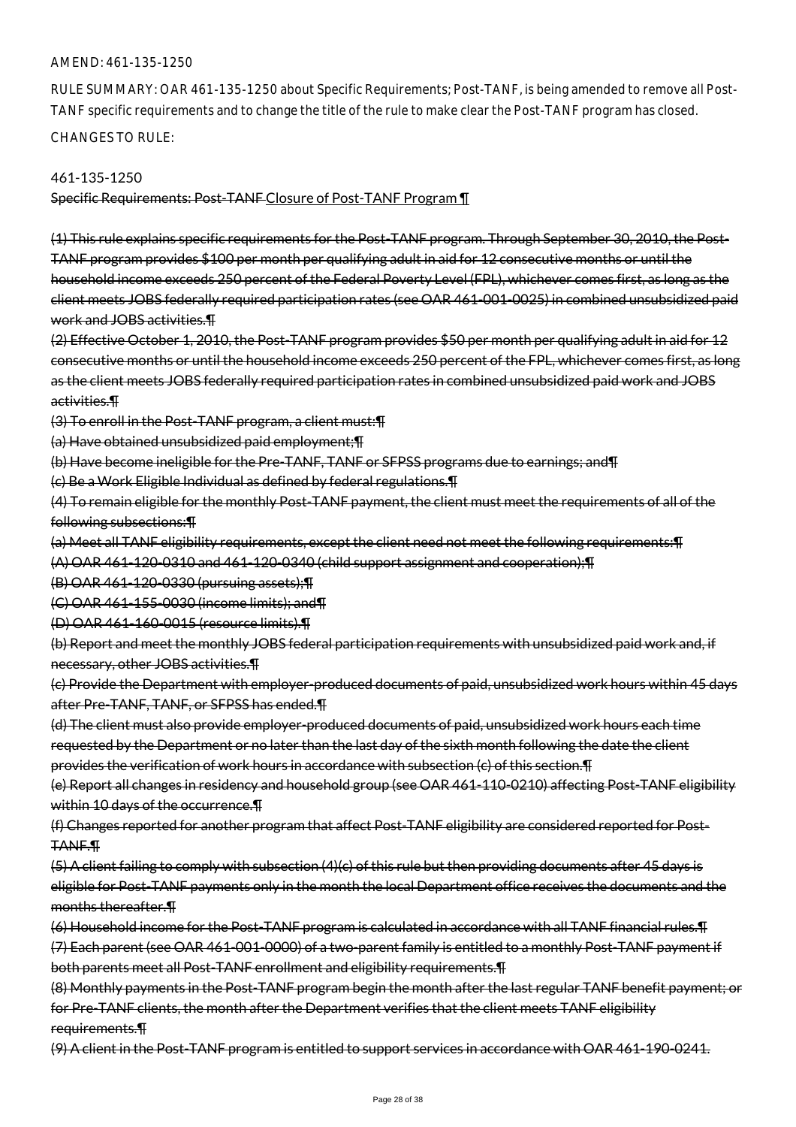RULE SUMMARY: OAR 461-135-1250 about Specific Requirements; Post-TANF, is being amended to remove all Post-TANF specific requirements and to change the title of the rule to make clear the Post-TANF program has closed. CHANGES TO RULE:

#### 461-135-1250

Specific Requirements: Post-TANF Closure of Post-TANF Program ¶

(1) This rule explains specific requirements for the Post-TANF program. Through September 30, 2010, the Post-TANF program provides \$100 per month per qualifying adult in aid for 12 consecutive months or until the household income exceeds 250 percent of the Federal Poverty Level (FPL), whichever comes first, as long as the client meets JOBS federally required participation rates (see OAR 461-001-0025) in combined unsubsidized paid work and JOBS activities.¶

(2) Effective October 1, 2010, the Post-TANF program provides \$50 per month per qualifying adult in aid for 12 consecutive months or until the household income exceeds 250 percent of the FPL, whichever comes first, as long as the client meets JOBS federally required participation rates in combined unsubsidized paid work and JOBS activities.¶

(3) To enroll in the Post-TANF program, a client must:¶

(a) Have obtained unsubsidized paid employment;¶

(b) Have become ineligible for the Pre-TANF, TANF or SFPSS programs due to earnings; and¶

(c) Be a Work Eligible Individual as defined by federal regulations.¶

(4) To remain eligible for the monthly Post-TANF payment, the client must meet the requirements of all of the following subsections:¶

(a) Meet all TANF eligibility requirements, except the client need not meet the following requirements:¶

(A) OAR 461-120-0310 and 461-120-0340 (child support assignment and cooperation);¶

(B) OAR 461-120-0330 (pursuing assets);¶

(C) OAR 461-155-0030 (income limits); and¶

(D) OAR 461-160-0015 (resource limits).¶

(b) Report and meet the monthly JOBS federal participation requirements with unsubsidized paid work and, if necessary, other JOBS activities.¶

(c) Provide the Department with employer-produced documents of paid, unsubsidized work hours within 45 days after Pre-TANF, TANF, or SFPSS has ended.¶

(d) The client must also provide employer-produced documents of paid, unsubsidized work hours each time requested by the Department or no later than the last day of the sixth month following the date the client provides the verification of work hours in accordance with subsection (c) of this section.¶

(e) Report all changes in residency and household group (see OAR 461-110-0210) affecting Post-TANF eligibility within 10 days of the occurrence. T

(f) Changes reported for another program that affect Post-TANF eligibility are considered reported for Post-TANF.¶

(5) A client failing to comply with subsection (4)(c) of this rule but then providing documents after 45 days is eligible for Post-TANF payments only in the month the local Department office receives the documents and the months thereafter.¶

(6) Household income for the Post-TANF program is calculated in accordance with all TANF financial rules.¶ (7) Each parent (see OAR 461-001-0000) of a two-parent family is entitled to a monthly Post-TANF payment if both parents meet all Post-TANF enrollment and eligibility requirements.¶

(8) Monthly payments in the Post-TANF program begin the month after the last regular TANF benefit payment; or for Pre-TANF clients, the month after the Department verifies that the client meets TANF eligibility requirements.¶

(9) A client in the Post-TANF program is entitled to support services in accordance with OAR 461-190-0241.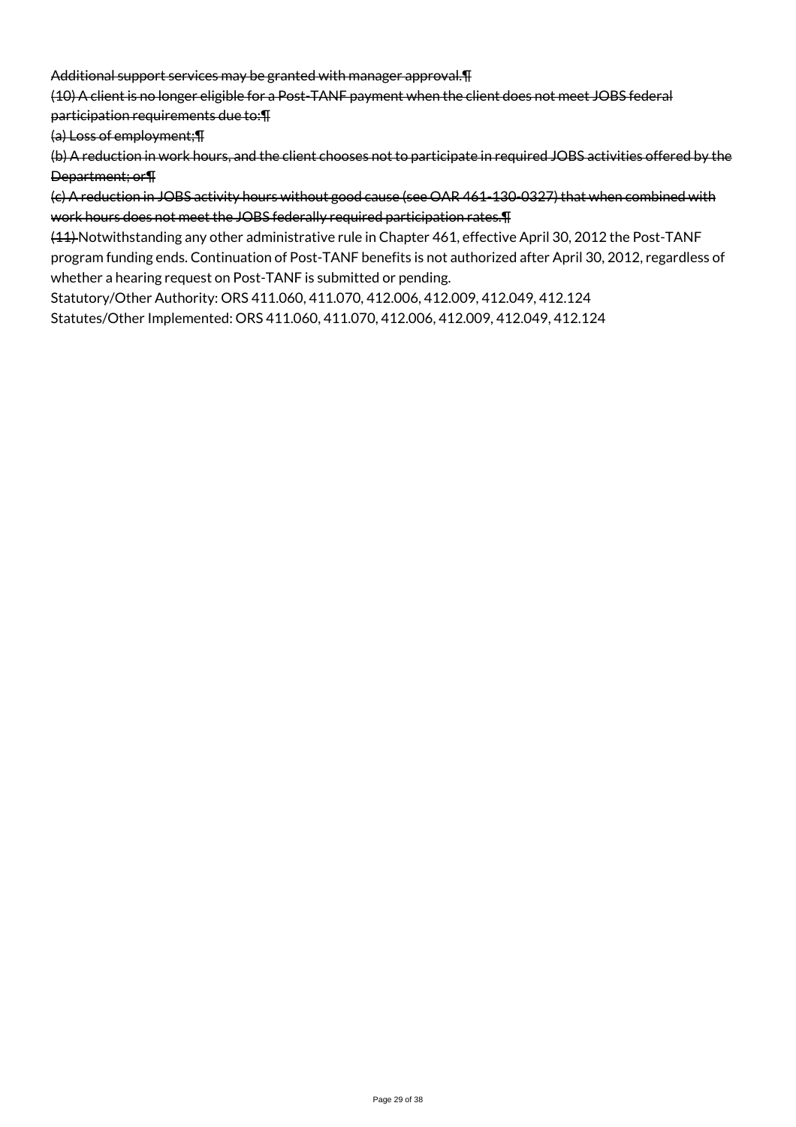Additional support services may be granted with manager approval.¶

(10) A client is no longer eligible for a Post-TANF payment when the client does not meet JOBS federal

participation requirements due to:¶

(a) Loss of employment;¶

(b) A reduction in work hours, and the client chooses not to participate in required JOBS activities offered by the Department; or¶

(c) A reduction in JOBS activity hours without good cause (see OAR 461-130-0327) that when combined with work hours does not meet the JOBS federally required participation rates.¶

(11) Notwithstanding any other administrative rule in Chapter 461, effective April 30, 2012 the Post-TANF program funding ends. Continuation of Post-TANF benefits is not authorized after April 30, 2012, regardless of whether a hearing request on Post-TANF is submitted or pending.

Statutory/Other Authority: ORS 411.060, 411.070, 412.006, 412.009, 412.049, 412.124 Statutes/Other Implemented: ORS 411.060, 411.070, 412.006, 412.009, 412.049, 412.124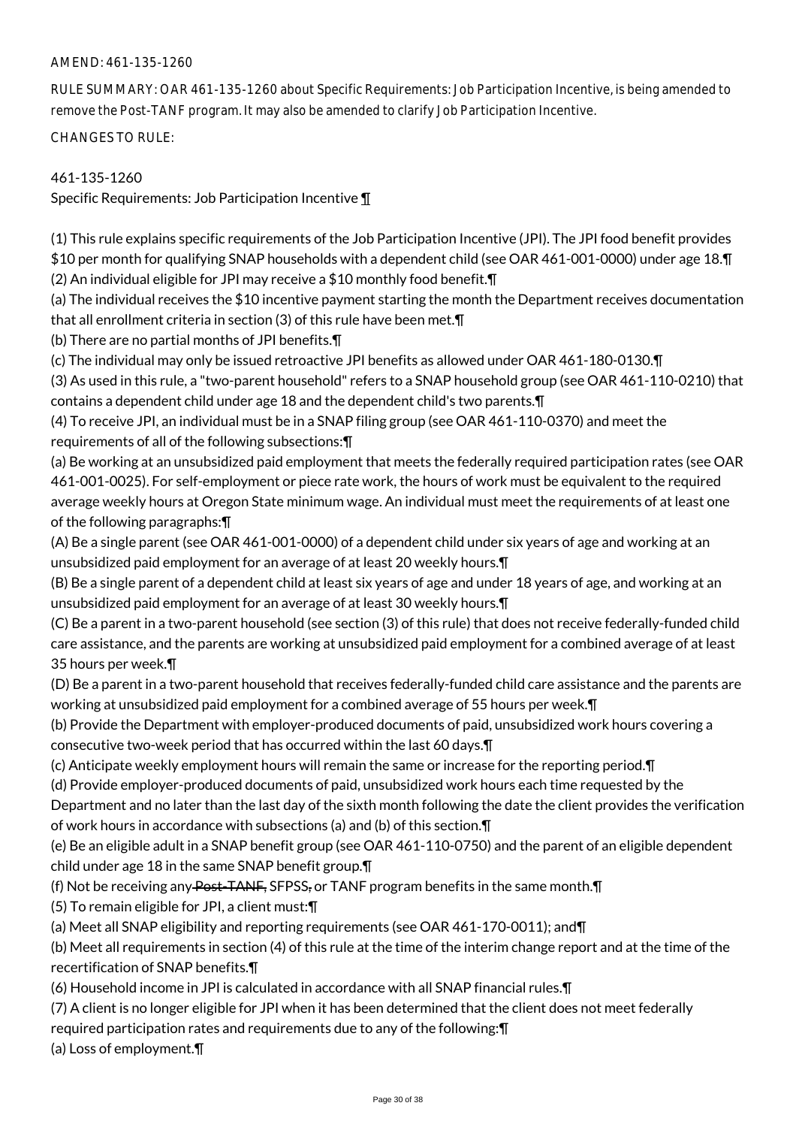RULE SUMMARY: OAR 461-135-1260 about Specific Requirements: Job Participation Incentive, is being amended to remove the Post-TANF program. It may also be amended to clarify Job Participation Incentive.

CHANGES TO RULE:

# 461-135-1260

Specific Requirements: Job Participation Incentive ¶

(1) This rule explains specific requirements of the Job Participation Incentive (JPI). The JPI food benefit provides \$10 per month for qualifying SNAP households with a dependent child (see OAR 461-001-0000) under age 18.¶ (2) An individual eligible for JPI may receive a \$10 monthly food benefit.¶

(a) The individual receives the \$10 incentive payment starting the month the Department receives documentation that all enrollment criteria in section (3) of this rule have been met.¶

(b) There are no partial months of JPI benefits.¶

(c) The individual may only be issued retroactive JPI benefits as allowed under OAR 461-180-0130.¶

(3) As used in this rule, a "two-parent household" refers to a SNAP household group (see OAR 461-110-0210) that contains a dependent child under age 18 and the dependent child's two parents.¶

(4) To receive JPI, an individual must be in a SNAP filing group (see OAR 461-110-0370) and meet the requirements of all of the following subsections:¶

(a) Be working at an unsubsidized paid employment that meets the federally required participation rates (see OAR 461-001-0025). For self-employment or piece rate work, the hours of work must be equivalent to the required average weekly hours at Oregon State minimum wage. An individual must meet the requirements of at least one of the following paragraphs:¶

(A) Be a single parent (see OAR 461-001-0000) of a dependent child under six years of age and working at an unsubsidized paid employment for an average of at least 20 weekly hours.¶

(B) Be a single parent of a dependent child at least six years of age and under 18 years of age, and working at an unsubsidized paid employment for an average of at least 30 weekly hours.¶

(C) Be a parent in a two-parent household (see section (3) of this rule) that does not receive federally-funded child care assistance, and the parents are working at unsubsidized paid employment for a combined average of at least 35 hours per week.¶

(D) Be a parent in a two-parent household that receives federally-funded child care assistance and the parents are working at unsubsidized paid employment for a combined average of 55 hours per week.¶

(b) Provide the Department with employer-produced documents of paid, unsubsidized work hours covering a consecutive two-week period that has occurred within the last 60 days.¶

(c) Anticipate weekly employment hours will remain the same or increase for the reporting period.¶

(d) Provide employer-produced documents of paid, unsubsidized work hours each time requested by the

Department and no later than the last day of the sixth month following the date the client provides the verification of work hours in accordance with subsections (a) and (b) of this section.¶

(e) Be an eligible adult in a SNAP benefit group (see OAR 461-110-0750) and the parent of an eligible dependent child under age 18 in the same SNAP benefit group.¶

(f) Not be receiving any Post-TANF, SFPSS, or TANF program benefits in the same month.¶

(5) To remain eligible for JPI, a client must:¶

(a) Meet all SNAP eligibility and reporting requirements (see OAR 461-170-0011); and¶

(b) Meet all requirements in section (4) of this rule at the time of the interim change report and at the time of the recertification of SNAP benefits.¶

(6) Household income in JPI is calculated in accordance with all SNAP financial rules.¶

(7) A client is no longer eligible for JPI when it has been determined that the client does not meet federally

required participation rates and requirements due to any of the following:¶

(a) Loss of employment.¶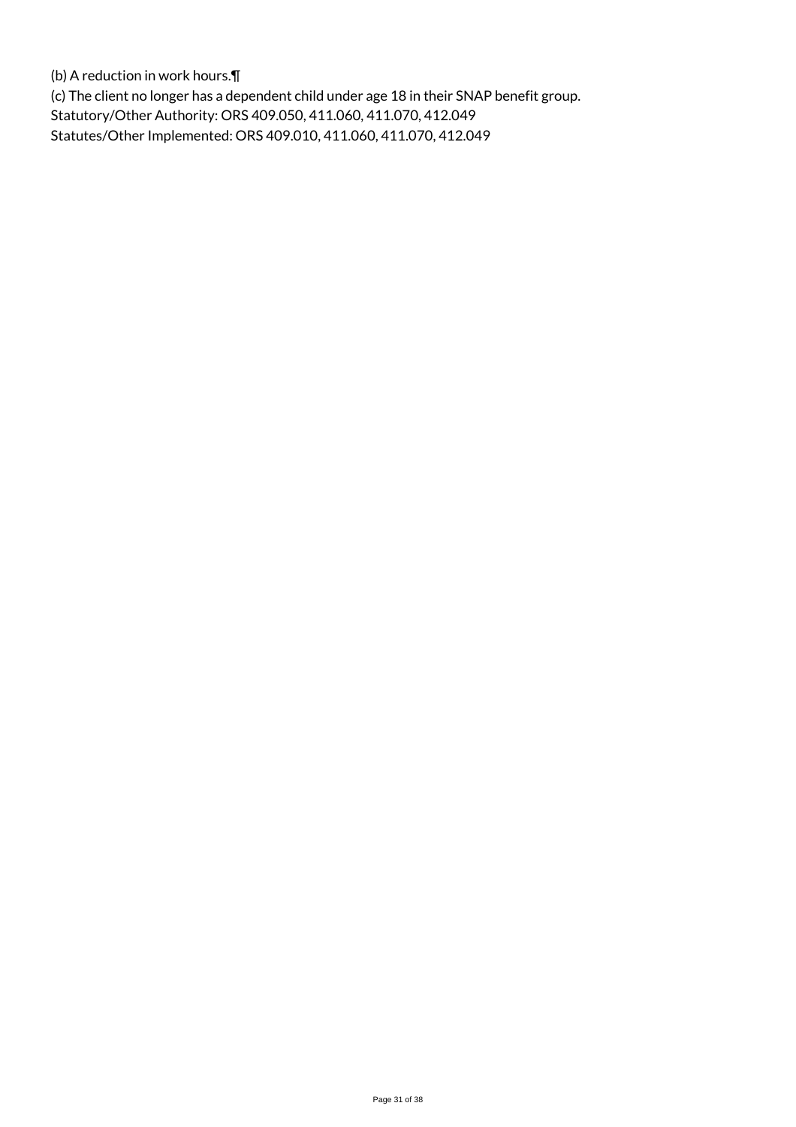(b) A reduction in work hours.¶

(c) The client no longer has a dependent child under age 18 in their SNAP benefit group. Statutory/Other Authority: ORS 409.050, 411.060, 411.070, 412.049 Statutes/Other Implemented: ORS 409.010, 411.060, 411.070, 412.049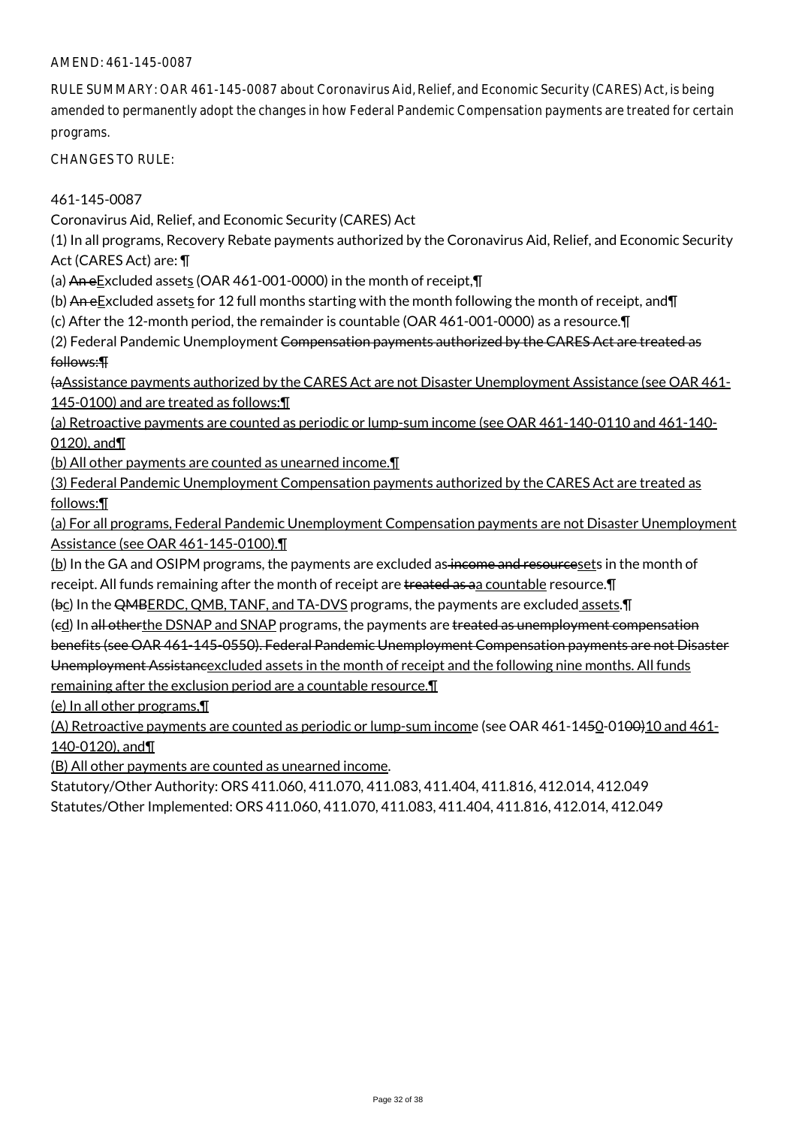RULE SUMMARY: OAR 461-145-0087 about Coronavirus Aid, Relief, and Economic Security (CARES) Act, is being amended to permanently adopt the changes in how Federal Pandemic Compensation payments are treated for certain programs.

CHANGES TO RULE:

## 461-145-0087

Coronavirus Aid, Relief, and Economic Security (CARES) Act

(1) In all programs, Recovery Rebate payments authorized by the Coronavirus Aid, Relief, and Economic Security Act (CARES Act) are: ¶

(a) An e $E$ xcluded assets (OAR 461-001-0000) in the month of receipt, $\P$ 

(b) An e $E$ xcluded assets for 12 full months starting with the month following the month of receipt, and  $\P$ 

(c) After the 12-month period, the remainder is countable (OAR 461-001-0000) as a resource.¶

(2) Federal Pandemic Unemployment Compensation payments authorized by the CARES Act are treated as follows:¶

(aAssistance payments authorized by the CARES Act are not Disaster Unemployment Assistance (see OAR 461- 145-0100) and are treated as follows: II

(a) Retroactive payments are counted as periodic or lump-sum income (see OAR 461-140-0110 and 461-140- 0120), and¶

(b) All other payments are counted as unearned income.¶

(3) Federal Pandemic Unemployment Compensation payments authorized by the CARES Act are treated as follows:¶

(a) For all programs, Federal Pandemic Unemployment Compensation payments are not Disaster Unemployment Assistance (see OAR 461-145-0100).¶

(b) In the GA and OSIPM programs, the payments are excluded as income and resourcesets in the month of receipt. All funds remaining after the month of receipt are treated as a a countable resource. I

(bc) In the QMBERDC, QMB, TANF, and TA-DVS programs, the payments are excluded assets. T

(ed) In all otherthe DSNAP and SNAP programs, the payments are treated as unemployment compensation

benefits (see OAR 461-145-0550). Federal Pandemic Unemployment Compensation payments are not Disaster

Unemployment Assistancexcluded assets in the month of receipt and the following nine months. All funds remaining after the exclusion period are a countable resource.¶

(e) In all other programs,¶

(A) Retroactive payments are counted as periodic or lump-sum income (see OAR 461-1450-01<del>00)</del>10 and 461-140-0120), and¶

(B) All other payments are counted as unearned income.

Statutory/Other Authority: ORS 411.060, 411.070, 411.083, 411.404, 411.816, 412.014, 412.049 Statutes/Other Implemented: ORS 411.060, 411.070, 411.083, 411.404, 411.816, 412.014, 412.049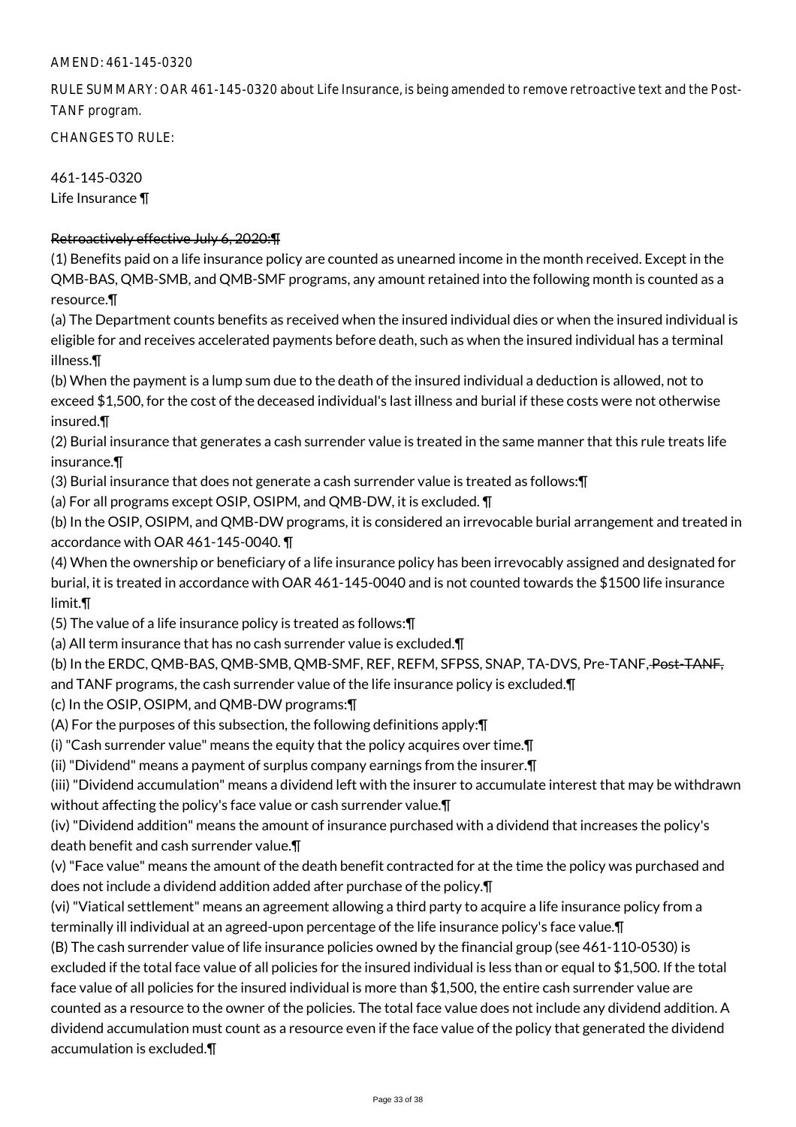RULE SUMMARY: OAR 461-145-0320 about Life Insurance, is being amended to remove retroactive text and the Post-TANF program.

CHANGES TO RULE:

461-145-0320 Life Insurance ¶

# Retroactively effective July 6, 2020:¶

(1) Benefits paid on a life insurance policy are counted as unearned income in the month received. Except in the QMB-BAS, QMB-SMB, and QMB-SMF programs, any amount retained into the following month is counted as a resource.¶

(a) The Department counts benefits as received when the insured individual dies or when the insured individual is eligible for and receives accelerated payments before death, such as when the insured individual has a terminal illness.¶

(b) When the payment is a lump sum due to the death of the insured individual a deduction is allowed, not to exceed \$1,500, for the cost of the deceased individual's last illness and burial if these costs were not otherwise insured.¶

(2) Burial insurance that generates a cash surrender value is treated in the same manner that this rule treats life insurance.¶

(3) Burial insurance that does not generate a cash surrender value is treated as follows:¶

(a) For all programs except OSIP, OSIPM, and QMB-DW, it is excluded. ¶

(b) In the OSIP, OSIPM, and QMB-DW programs, it is considered an irrevocable burial arrangement and treated in accordance with OAR 461-145-0040. ¶

(4) When the ownership or beneficiary of a life insurance policy has been irrevocably assigned and designated for burial, it is treated in accordance with OAR 461-145-0040 and is not counted towards the \$1500 life insurance limit.¶

(5) The value of a life insurance policy is treated as follows:¶

(a) All term insurance that has no cash surrender value is excluded.¶

(b) In the ERDC, QMB-BAS, QMB-SMB, QMB-SMF, REF, REFM, SFPSS, SNAP, TA-DVS, Pre-TANF, Post-TANF, and TANF programs, the cash surrender value of the life insurance policy is excluded.¶

(c) In the OSIP, OSIPM, and QMB-DW programs:¶

(A) For the purposes of this subsection, the following definitions apply:¶

(i) "Cash surrender value" means the equity that the policy acquires over time.¶

(ii) "Dividend" means a payment of surplus company earnings from the insurer.¶

(iii) "Dividend accumulation" means a dividend left with the insurer to accumulate interest that may be withdrawn without affecting the policy's face value or cash surrender value.¶

(iv) "Dividend addition" means the amount of insurance purchased with a dividend that increases the policy's death benefit and cash surrender value.¶

(v) "Face value" means the amount of the death benefit contracted for at the time the policy was purchased and does not include a dividend addition added after purchase of the policy.¶

(vi) "Viatical settlement" means an agreement allowing a third party to acquire a life insurance policy from a terminally ill individual at an agreed-upon percentage of the life insurance policy's face value.¶

(B) The cash surrender value of life insurance policies owned by the financial group (see 461-110-0530) is excluded if the total face value of all policies for the insured individual is less than or equal to \$1,500. If the total face value of all policies for the insured individual is more than \$1,500, the entire cash surrender value are counted as a resource to the owner of the policies. The total face value does not include any dividend addition. A dividend accumulation must count as a resource even if the face value of the policy that generated the dividend accumulation is excluded.¶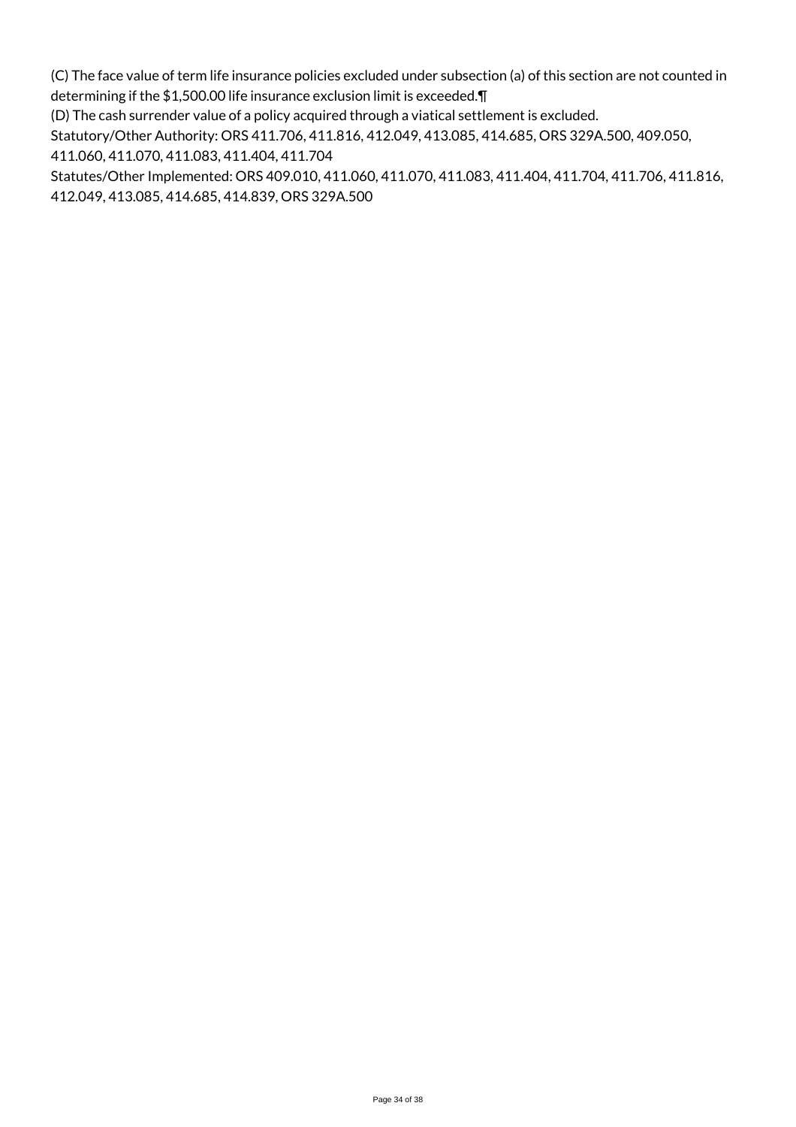(C) The face value of term life insurance policies excluded under subsection (a) of this section are not counted in determining if the \$1,500.00 life insurance exclusion limit is exceeded.¶

(D) The cash surrender value of a policy acquired through a viatical settlement is excluded.

Statutory/Other Authority: ORS 411.706, 411.816, 412.049, 413.085, 414.685, ORS 329A.500, 409.050,

411.060, 411.070, 411.083, 411.404, 411.704

Statutes/Other Implemented: ORS 409.010, 411.060, 411.070, 411.083, 411.404, 411.704, 411.706, 411.816, 412.049, 413.085, 414.685, 414.839, ORS 329A.500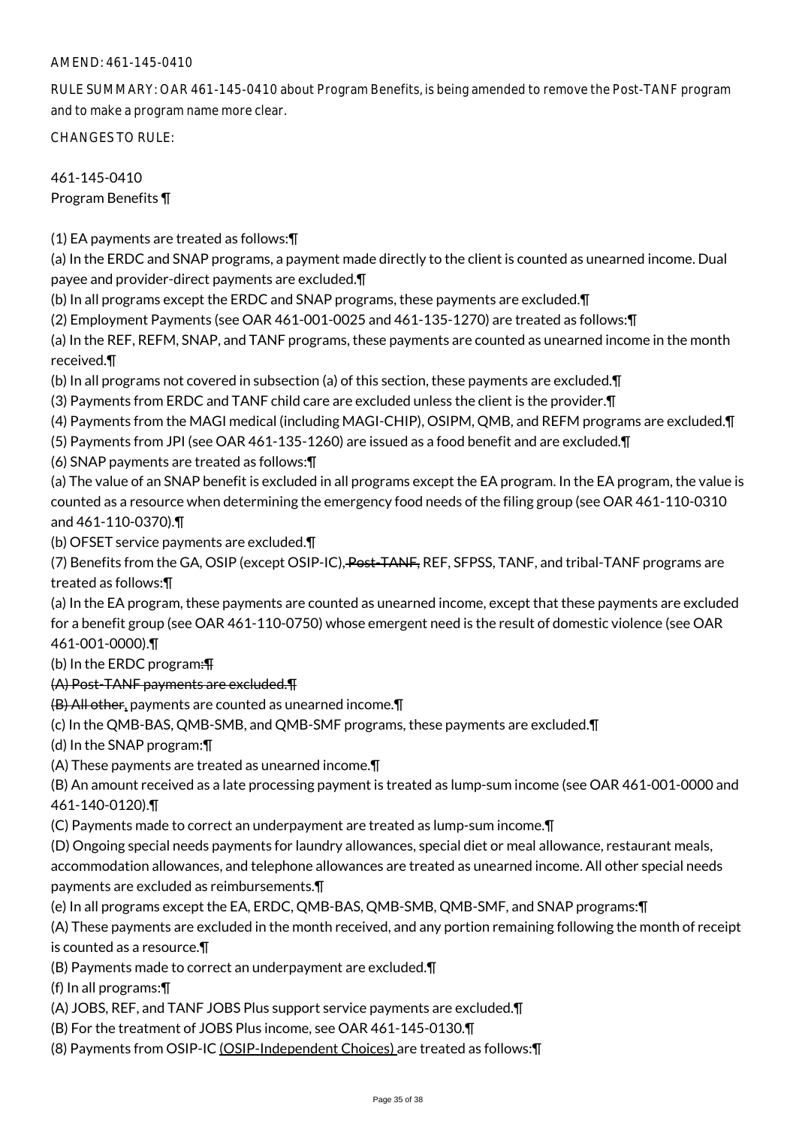RULE SUMMARY: OAR 461-145-0410 about Program Benefits, is being amended to remove the Post-TANF program and to make a program name more clear.

CHANGES TO RULE:

# 461-145-0410 Program Benefits ¶

(1) EA payments are treated as follows:¶

(a) In the ERDC and SNAP programs, a payment made directly to the client is counted as unearned income. Dual payee and provider-direct payments are excluded.¶

(b) In all programs except the ERDC and SNAP programs, these payments are excluded.¶

(2) Employment Payments (see OAR 461-001-0025 and 461-135-1270) are treated as follows:¶

(a) In the REF, REFM, SNAP, and TANF programs, these payments are counted as unearned income in the month received.¶

(b) In all programs not covered in subsection (a) of this section, these payments are excluded.¶

(3) Payments from ERDC and TANF child care are excluded unless the client is the provider.¶

- (4) Payments from the MAGI medical (including MAGI-CHIP), OSIPM, QMB, and REFM programs are excluded.¶
- (5) Payments from JPI (see OAR 461-135-1260) are issued as a food benefit and are excluded.¶

(6) SNAP payments are treated as follows:¶

(a) The value of an SNAP benefit is excluded in all programs except the EA program. In the EA program, the value is counted as a resource when determining the emergency food needs of the filing group (see OAR 461-110-0310 and 461-110-0370).¶

(b) OFSET service payments are excluded.¶

(7) Benefits from the GA, OSIP (except OSIP-IC), Post-TANF, REF, SFPSS, TANF, and tribal-TANF programs are treated as follows:¶

(a) In the EA program, these payments are counted as unearned income, except that these payments are excluded for a benefit group (see OAR 461-110-0750) whose emergent need is the result of domestic violence (see OAR 461-001-0000).¶

(b) In the ERDC program:¶

## (A) Post-TANF payments are excluded.¶

(B) All other, payments are counted as unearned income.¶

(c) In the QMB-BAS, QMB-SMB, and QMB-SMF programs, these payments are excluded.¶

(d) In the SNAP program:¶

(A) These payments are treated as unearned income.¶

(B) An amount received as a late processing payment is treated as lump-sum income (see OAR 461-001-0000 and 461-140-0120).¶

(C) Payments made to correct an underpayment are treated as lump-sum income.¶

(D) Ongoing special needs payments for laundry allowances, special diet or meal allowance, restaurant meals,

accommodation allowances, and telephone allowances are treated as unearned income. All other special needs payments are excluded as reimbursements.¶

(e) In all programs except the EA, ERDC, QMB-BAS, QMB-SMB, QMB-SMF, and SNAP programs:¶

(A) These payments are excluded in the month received, and any portion remaining following the month of receipt is counted as a resource.¶

(B) Payments made to correct an underpayment are excluded.¶

(f) In all programs:¶

(A) JOBS, REF, and TANF JOBS Plus support service payments are excluded.¶

(B) For the treatment of JOBS Plus income, see OAR 461-145-0130.¶

(8) Payments from OSIP-IC (OSIP-Independent Choices) are treated as follows:¶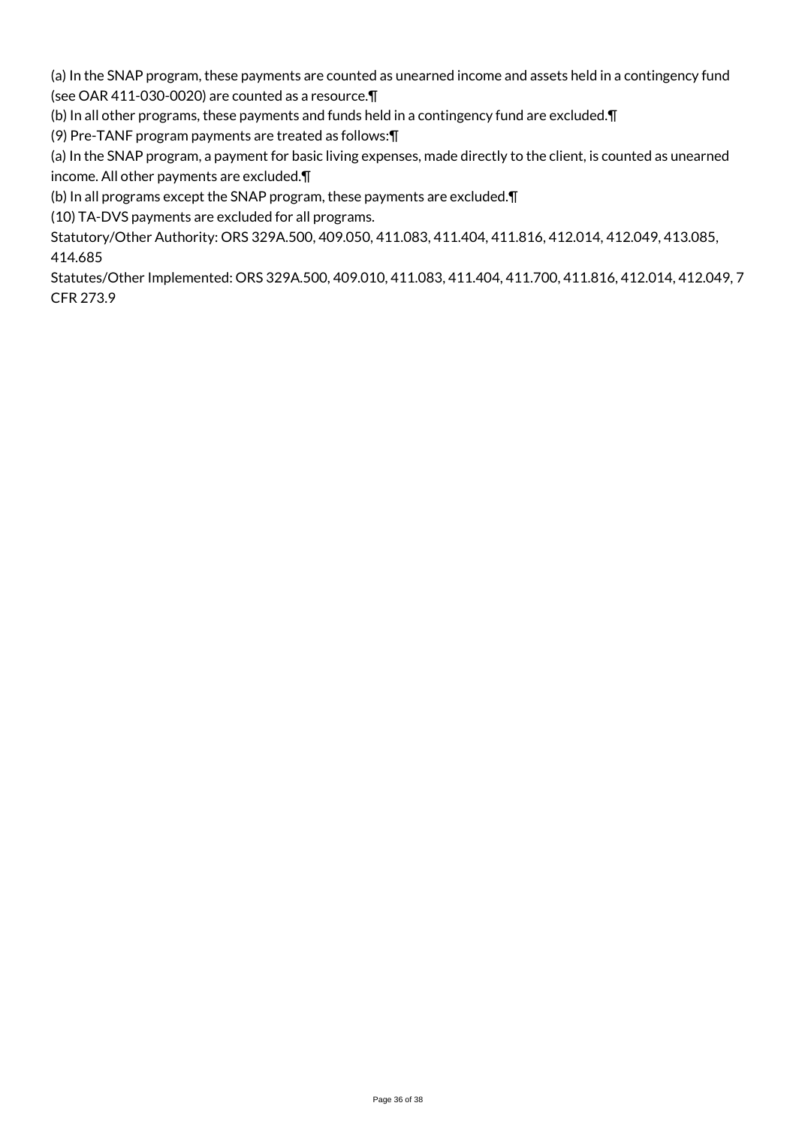(a) In the SNAP program, these payments are counted as unearned income and assets held in a contingency fund (see OAR 411-030-0020) are counted as a resource.¶

(b) In all other programs, these payments and funds held in a contingency fund are excluded.¶

(9) Pre-TANF program payments are treated as follows:¶

(a) In the SNAP program, a payment for basic living expenses, made directly to the client, is counted as unearned income. All other payments are excluded.¶

(b) In all programs except the SNAP program, these payments are excluded.¶

(10) TA-DVS payments are excluded for all programs.

Statutory/Other Authority: ORS 329A.500, 409.050, 411.083, 411.404, 411.816, 412.014, 412.049, 413.085, 414.685

Statutes/Other Implemented: ORS 329A.500, 409.010, 411.083, 411.404, 411.700, 411.816, 412.014, 412.049, 7 CFR 273.9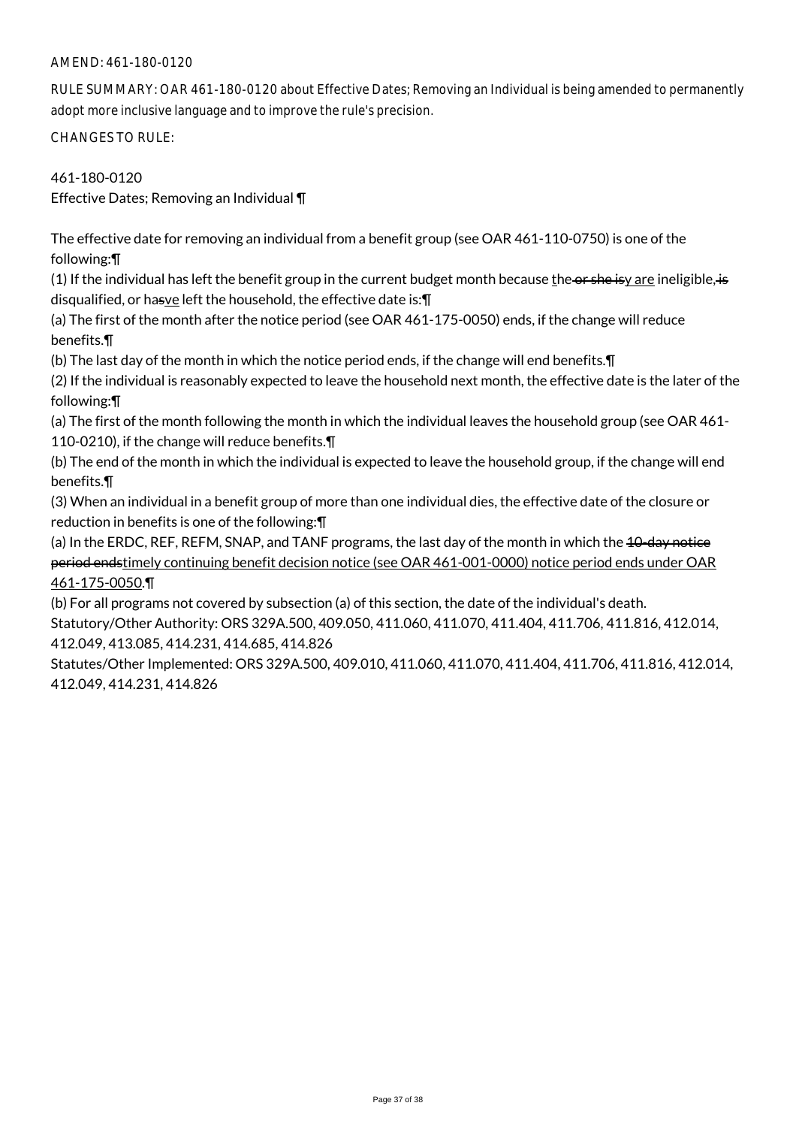## AMEND: 461-180-0120

RULE SUMMARY: OAR 461-180-0120 about Effective Dates; Removing an Individual is being amended to permanently adopt more inclusive language and to improve the rule's precision.

CHANGES TO RULE:

461-180-0120

Effective Dates; Removing an Individual ¶

The effective date for removing an individual from a benefit group (see OAR 461-110-0750) is one of the following:¶

(1) If the individual has left the benefit group in the current budget month because the or she isy are ineligible, is disqualified, or hasve left the household, the effective date is: $\P$ 

(a) The first of the month after the notice period (see OAR 461-175-0050) ends, if the change will reduce benefits.¶

(b) The last day of the month in which the notice period ends, if the change will end benefits.¶

(2) If the individual is reasonably expected to leave the household next month, the effective date is the later of the following:¶

(a) The first of the month following the month in which the individual leaves the household group (see OAR 461- 110-0210), if the change will reduce benefits.¶

(b) The end of the month in which the individual is expected to leave the household group, if the change will end benefits.¶

(3) When an individual in a benefit group of more than one individual dies, the effective date of the closure or reduction in benefits is one of the following:¶

(a) In the ERDC, REF, REFM, SNAP, and TANF programs, the last day of the month in which the 40-day notice period endstimely continuing benefit decision notice (see OAR 461-001-0000) notice period ends under OAR 461-175-0050.¶

(b) For all programs not covered by subsection (a) of this section, the date of the individual's death. Statutory/Other Authority: ORS 329A.500, 409.050, 411.060, 411.070, 411.404, 411.706, 411.816, 412.014, 412.049, 413.085, 414.231, 414.685, 414.826

Statutes/Other Implemented: ORS 329A.500, 409.010, 411.060, 411.070, 411.404, 411.706, 411.816, 412.014, 412.049, 414.231, 414.826